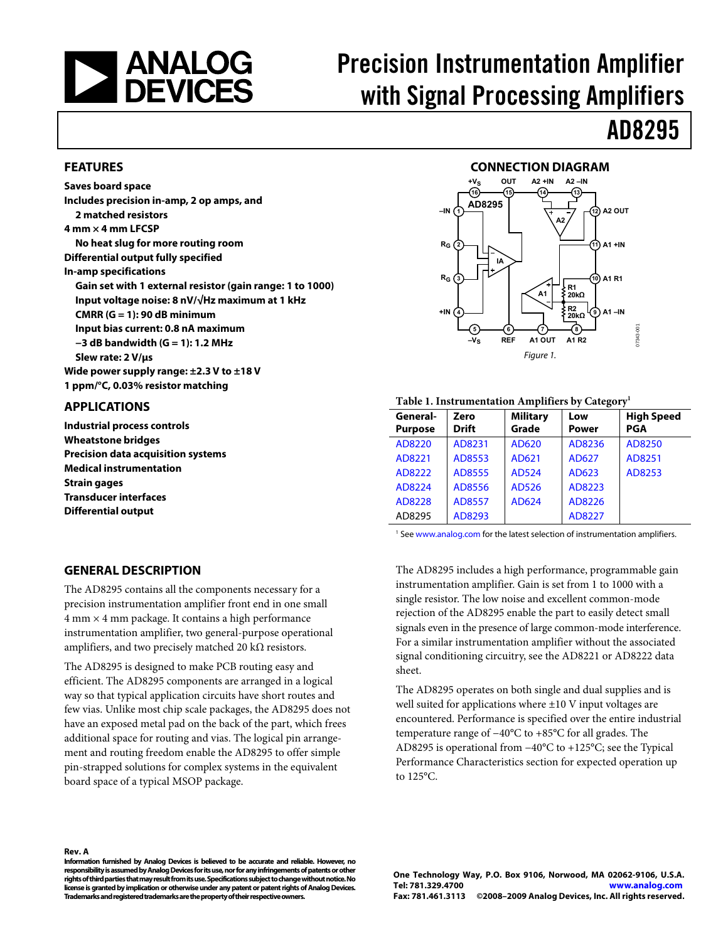<span id="page-0-0"></span>

# Precision Instrumentation Amplifier with Signal Processing Amplifiers

# AD8295

07343-001

#### **FEATURES**

**Saves board space Includes precision in-amp, 2 op amps, and 2 matched resistors 4 mm × 4 mm LFCSP No heat slug for more routing room Differential output fully specified In-amp specifications Gain set with 1 external resistor (gain range: 1 to 1000) Input voltage noise: 8 nV/√Hz maximum at 1 kHz CMRR (G = 1): 90 dB minimum Input bias current: 0.8 nA maximum −3 dB bandwidth (G = 1): 1.2 MHz Slew rate: 2 V/μs Wide power supply range: ±2.3 V to ±18 V 1 ppm/°C, 0.03% resistor matching** 

#### **APPLICATIONS**

**Industrial process controls Wheatstone bridges Precision data acquisition systems Medical instrumentation Strain gages Transducer interfaces Differential output** 

#### **CONNECTION DIAGRAM A2 +IN A2 –IN OUT +VS 16 15 14 13 AD8295**  $\frac{1}{2}$   $\frac{1}{2}$   $\frac{1}{2}$   $\frac{1}{2}$  A2 OUT **–IN 1 A2 RG 2 A1 +IN 11 IA RG A1 R1 10 3 R1 20kΩ A1 R2 A1 –IN +IN 4 20kΩ 9 5 6 7 8** 7343-00 **REF A1 OUT A1 R2 –VS** Figure 1.

#### **Table 1. Instrumentation Amplifiers by Category1**

| General-<br><b>Purpose</b> | Zero<br><b>Drift</b> | <b>Military</b><br>Grade | Low<br>Power | <b>High Speed</b><br><b>PGA</b> |
|----------------------------|----------------------|--------------------------|--------------|---------------------------------|
| AD8220                     | AD8231               | AD620                    | AD8236       | AD8250                          |
| AD8221                     | AD8553               | AD621                    | AD627        | AD8251                          |
| AD8222                     | AD8555               | AD524                    | AD623        | AD8253                          |
| AD8224                     | AD8556               | AD526                    | AD8223       |                                 |
| AD8228                     | AD8557               | AD624                    | AD8226       |                                 |
| AD8295                     | AD8293               |                          | AD8227       |                                 |

<sup>1</sup> See [www.analog.com](http://www.analog.com/) for the latest selection of instrumentation amplifiers.

#### The AD8295 includes a high performance, programmable gain instrumentation amplifier. Gain is set from 1 to 1000 with a single resistor. The low noise and excellent common-mode rejection of the AD8295 enable the part to easily detect small signals even in the presence of large common-mode interference. For a similar instrumentation amplifier without the associated signal conditioning circuitry, see the [AD8221](http://www.analog.com/AD8221) or [AD8222](http://www.analog.com/AD8222) data sheet.

The AD8295 operates on both single and dual supplies and is well suited for applications where  $\pm 10$  V input voltages are encountered. Performance is specified over the entire industrial temperature range of −40°C to +85°C for all grades. The AD8295 is operational from −40°C to +125°C; see the [Typical](#page-8-0)  [Performance Characteristics](#page-8-0) section for expected operation up to 125°C.

### **GENERAL DESCRIPTION**

The AD8295 contains all the components necessary for a precision instrumentation amplifier front end in one small  $4 \text{ mm} \times 4 \text{ mm}$  package. It contains a high performance instrumentation amplifier, two general-purpose operational amplifiers, and two precisely matched 20 k $\Omega$  resistors.

The AD8295 is designed to make PCB routing easy and efficient. The AD8295 components are arranged in a logical way so that typical application circuits have short routes and few vias. Unlike most chip scale packages, the AD8295 does not have an exposed metal pad on the back of the part, which frees additional space for routing and vias. The logical pin arrangement and routing freedom enable the AD8295 to offer simple pin-strapped solutions for complex systems in the equivalent board space of a typical MSOP package.

**Rev. A Information furnished by Analog Devices is believed to be accurate and reliable. However, no responsibility is assumed by Analog Devices for its use, nor for any infringements of patents or other rights of third parties that may result from its use. Specifications subject to change without notice. No license is granted by implication or otherwise under any patent or patent rights of Analog Devices. Trademarks and registered trademarks are the property of their respective owners.** 

**One Technology Way, P.O. Box 9106, Norwood, MA 02062-9106, U.S.A. Tel: 781.329.4700 www.analog.com Fax: 781.461.3113 ©2008–2009 Analog Devices, Inc. All rights reserved.**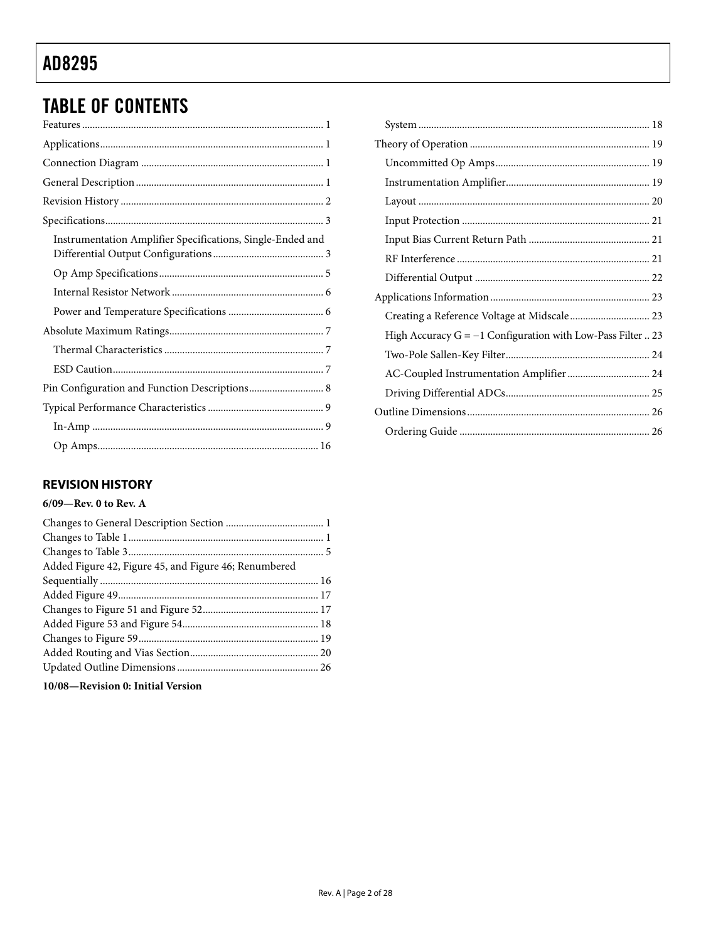# <span id="page-1-0"></span>**TABLE OF CONTENTS**

| Instrumentation Amplifier Specifications, Single-Ended and |
|------------------------------------------------------------|
|                                                            |
|                                                            |
|                                                            |
|                                                            |
|                                                            |
|                                                            |
| Pin Configuration and Function Descriptions 8              |
|                                                            |
|                                                            |
|                                                            |

### **REVISION HISTORY**

### $6/09$  — Rev. 0 to Rev. A

| Added Figure 42, Figure 45, and Figure 46; Renumbered |  |
|-------------------------------------------------------|--|
|                                                       |  |
|                                                       |  |
|                                                       |  |
|                                                       |  |
|                                                       |  |
|                                                       |  |
|                                                       |  |
|                                                       |  |

10/08-Revision 0: Initial Version

| High Accuracy $G = -1$ Configuration with Low-Pass Filter  23 |  |
|---------------------------------------------------------------|--|
|                                                               |  |
| AC-Coupled Instrumentation Amplifier  24                      |  |
|                                                               |  |
|                                                               |  |
|                                                               |  |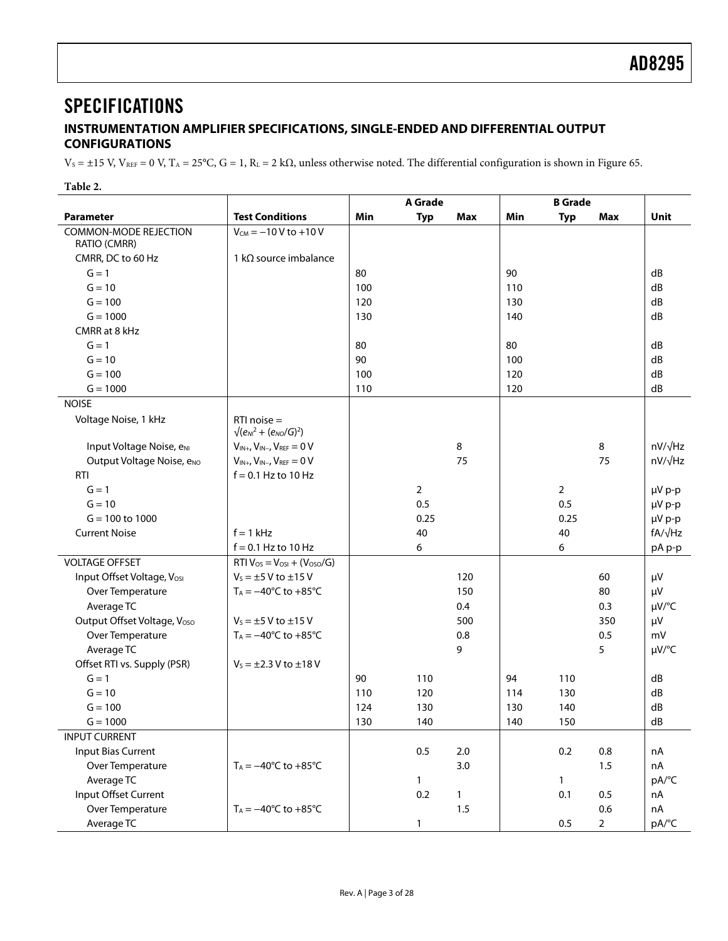### <span id="page-2-0"></span>**SPECIFICATIONS**

### **INSTRUMENTATION AMPLIFIER SPECIFICATIONS, SINGLE-ENDED AND DIFFERENTIAL OUTPUT CONFIGURATIONS**

 $V_S = \pm 15$  V,  $V_{REF} = 0$  V,  $T_A = 25$ °C,  $G = 1$ ,  $R_L = 2$  k $\Omega$ , unless otherwise noted. The differential configuration is shown in [Figure 65](#page-21-1).

#### **Table 2.**

<span id="page-2-1"></span>

|                                              |                                                         |     | A Grade        |              |     | <b>B</b> Grade |                |                |
|----------------------------------------------|---------------------------------------------------------|-----|----------------|--------------|-----|----------------|----------------|----------------|
| Parameter                                    | <b>Test Conditions</b>                                  | Min | <b>Typ</b>     | Max          | Min | <b>Typ</b>     | Max            | Unit           |
| <b>COMMON-MODE REJECTION</b><br>RATIO (CMRR) | $V_{CM} = -10 V$ to +10 V                               |     |                |              |     |                |                |                |
| CMRR, DC to 60 Hz                            | 1 k $\Omega$ source imbalance                           |     |                |              |     |                |                |                |
| $G = 1$                                      |                                                         | 80  |                |              | 90  |                |                | dB             |
| $G = 10$                                     |                                                         | 100 |                |              | 110 |                |                | dB             |
| $G = 100$                                    |                                                         | 120 |                |              | 130 |                |                | dB             |
| $G = 1000$                                   |                                                         | 130 |                |              | 140 |                |                | dB             |
| CMRR at 8 kHz                                |                                                         |     |                |              |     |                |                |                |
| $G = 1$                                      |                                                         | 80  |                |              | 80  |                |                | dB             |
| $G = 10$                                     |                                                         | 90  |                |              | 100 |                |                | dB             |
| $G = 100$                                    |                                                         | 100 |                |              | 120 |                |                | dB             |
| $G = 1000$                                   |                                                         | 110 |                |              | 120 |                |                | dB             |
| <b>NOISE</b>                                 |                                                         |     |                |              |     |                |                |                |
| Voltage Noise, 1 kHz                         | $RTI$ noise =<br>$\sqrt{(e_{N}r^{2} + (e_{N}C/G)^{2})}$ |     |                |              |     |                |                |                |
| Input Voltage Noise, eNI                     | $V_{IN+}$ , $V_{IN-}$ , $V_{REF} = 0$ V                 |     |                | 8            |     |                | 8              | $nV/\sqrt{Hz}$ |
| Output Voltage Noise, eNO                    | $V_{IN+}$ , $V_{IN-}$ , $V_{REF} = 0$ V                 |     |                | 75           |     |                | 75             | $nV/\sqrt{Hz}$ |
| <b>RTI</b>                                   | $f = 0.1$ Hz to 10 Hz                                   |     |                |              |     |                |                |                |
| $G = 1$                                      |                                                         |     | $\overline{2}$ |              |     | $\overline{2}$ |                | $\mu V$ p-p    |
| $G = 10$                                     |                                                         |     | 0.5            |              |     | 0.5            |                | $\mu V$ p-p    |
| $G = 100$ to 1000                            |                                                         |     | 0.25           |              |     | 0.25           |                | $\mu V$ p-p    |
| <b>Current Noise</b>                         | $f = 1$ kHz                                             |     | 40             |              |     | 40             |                | $fA/\sqrt{Hz}$ |
|                                              | $f = 0.1$ Hz to 10 Hz                                   |     | 6              |              |     | 6              |                | pA p-p         |
| <b>VOLTAGE OFFSET</b>                        | $RTI VOS = VOSI + (VOSO/G)$                             |     |                |              |     |                |                |                |
| Input Offset Voltage, Vosi                   | $V_s = \pm 5$ V to $\pm 15$ V                           |     |                | 120          |     |                | 60             | μV             |
| Over Temperature                             | $T_A = -40^{\circ}C$ to $+85^{\circ}C$                  |     |                | 150          |     |                | 80             | μV             |
| Average TC                                   |                                                         |     |                | 0.4          |     |                | 0.3            | $\mu V$ /°C    |
| Output Offset Voltage, Voso                  | $V_s = \pm 5$ V to $\pm 15$ V                           |     |                | 500          |     |                | 350            | μV             |
| Over Temperature                             | $T_A = -40$ °C to $+85$ °C                              |     |                | 0.8          |     |                | 0.5            | mV             |
| Average TC                                   |                                                         |     |                | 9            |     |                | 5              | $\mu V$ /°C    |
| Offset RTI vs. Supply (PSR)                  | $V_s = \pm 2.3 V$ to $\pm 18 V$                         |     |                |              |     |                |                |                |
| $G = 1$                                      |                                                         | 90  | 110            |              | 94  | 110            |                | dB             |
| $G = 10$                                     |                                                         | 110 | 120            |              | 114 | 130            |                | dB             |
| $G = 100$                                    |                                                         | 124 | 130            |              | 130 | 140            |                | dB             |
| $G = 1000$                                   |                                                         | 130 | 140            |              | 140 | 150            |                | dB             |
| <b>INPUT CURRENT</b>                         |                                                         |     |                |              |     |                |                |                |
| <b>Input Bias Current</b>                    |                                                         |     | 0.5            | 2.0          |     | 0.2            | $0.8\,$        | nA             |
| Over Temperature                             | $T_A = -40^{\circ}C$ to $+85^{\circ}C$                  |     |                | 3.0          |     |                | 1.5            | nA             |
| Average TC                                   |                                                         |     | $\mathbf{1}$   |              |     | $\mathbf{1}$   |                | pA/°C          |
| Input Offset Current                         |                                                         |     | 0.2            | $\mathbf{1}$ |     | 0.1            | 0.5            | nA             |
| Over Temperature                             | $T_A = -40$ °C to +85°C                                 |     |                | 1.5          |     |                | 0.6            | nA             |
| Average TC                                   |                                                         |     | $\mathbf{1}$   |              |     | 0.5            | $\overline{2}$ | pA/°C          |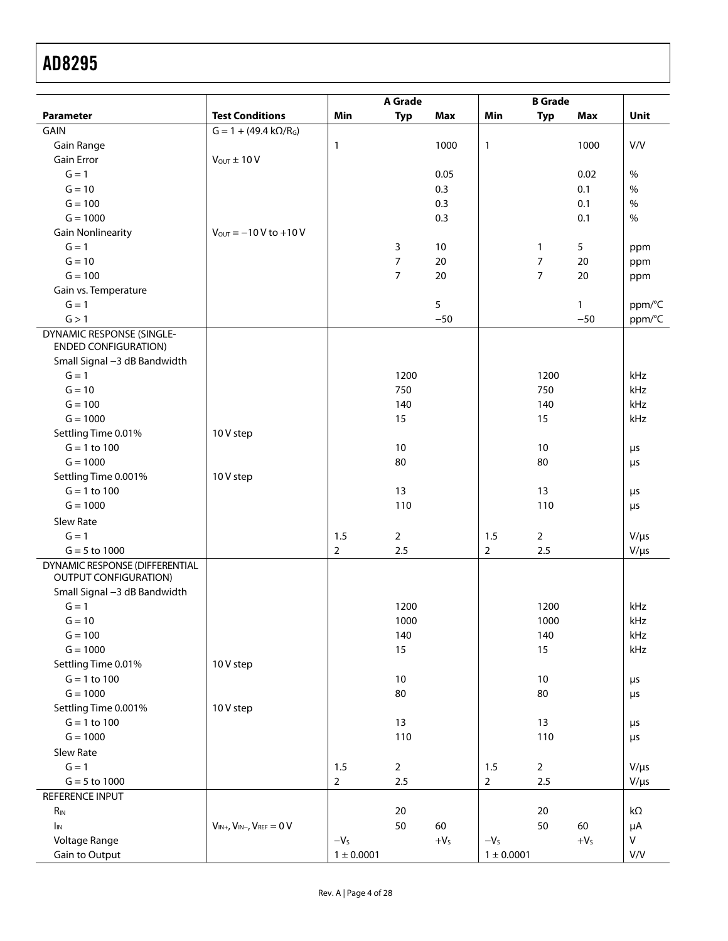|                                                                |                                         |                | A Grade        |            |                | <b>B</b> Grade |              |            |
|----------------------------------------------------------------|-----------------------------------------|----------------|----------------|------------|----------------|----------------|--------------|------------|
| <b>Parameter</b>                                               | <b>Test Conditions</b>                  | Min            | <b>Typ</b>     | <b>Max</b> | Min            | <b>Typ</b>     | Max          | Unit       |
| GAIN                                                           | $G = 1 + (49.4 \text{ k}\Omega/R)$      |                |                |            |                |                |              |            |
| Gain Range                                                     |                                         | $\mathbf{1}$   |                | 1000       | $\mathbf{1}$   |                | 1000         | V/V        |
| Gain Error                                                     | $V_{OUT}$ $\pm$ 10 V                    |                |                |            |                |                |              |            |
| $G = 1$                                                        |                                         |                |                | 0.05       |                |                | 0.02         | %          |
| $G = 10$                                                       |                                         |                |                | 0.3        |                |                | 0.1          | $\%$       |
| $G = 100$                                                      |                                         |                |                | 0.3        |                |                | 0.1          | %          |
| $G = 1000$                                                     |                                         |                |                | 0.3        |                |                | 0.1          | $\%$       |
| <b>Gain Nonlinearity</b>                                       | $V_{\text{OUT}} = -10 V to +10 V$       |                |                |            |                |                |              |            |
| $G = 1$                                                        |                                         |                | 3              | 10         |                | 1              | 5            | ppm        |
| $G = 10$                                                       |                                         |                | $\overline{7}$ | 20         |                | 7              | 20           |            |
| $G = 100$                                                      |                                         |                | $\overline{7}$ | 20         |                | $\overline{7}$ | 20           | ppm<br>ppm |
| Gain vs. Temperature                                           |                                         |                |                |            |                |                |              |            |
| $G = 1$                                                        |                                         |                |                | 5          |                |                | $\mathbf{1}$ | ppm/°C     |
| G > 1                                                          |                                         |                |                | $-50$      |                |                | $-50$        | ppm/°C     |
| DYNAMIC RESPONSE (SINGLE-                                      |                                         |                |                |            |                |                |              |            |
| <b>ENDED CONFIGURATION)</b>                                    |                                         |                |                |            |                |                |              |            |
| Small Signal -3 dB Bandwidth                                   |                                         |                |                |            |                |                |              |            |
| $G = 1$                                                        |                                         |                | 1200           |            |                | 1200           |              | kHz        |
| $G = 10$                                                       |                                         |                | 750            |            |                | 750            |              | kHz        |
| $G = 100$                                                      |                                         |                | 140            |            |                | 140            |              | kHz        |
| $G = 1000$                                                     |                                         |                | 15             |            |                | 15             |              | kHz        |
| Settling Time 0.01%                                            | 10 V step                               |                |                |            |                |                |              |            |
| $G = 1$ to 100                                                 |                                         |                | 10             |            |                | 10             |              |            |
| $G = 1000$                                                     |                                         |                | 80             |            |                | 80             |              | $\mu$ s    |
| Settling Time 0.001%                                           | 10 V step                               |                |                |            |                |                |              | μs         |
| $G = 1$ to 100                                                 |                                         |                | 13             |            |                | 13             |              |            |
| $G = 1000$                                                     |                                         |                | 110            |            |                | 110            |              | μs         |
|                                                                |                                         |                |                |            |                |                |              | μs         |
| <b>Slew Rate</b><br>$G = 1$                                    |                                         |                |                |            |                |                |              |            |
|                                                                |                                         | 1.5            | $\overline{2}$ |            | 1.5            | $\overline{2}$ |              | $V/\mu s$  |
| $G = 5$ to 1000                                                |                                         | $\overline{2}$ | 2.5            |            | $\overline{2}$ | 2.5            |              | $V/\mu s$  |
| DYNAMIC RESPONSE (DIFFERENTIAL<br><b>OUTPUT CONFIGURATION)</b> |                                         |                |                |            |                |                |              |            |
| Small Signal -3 dB Bandwidth                                   |                                         |                |                |            |                |                |              |            |
| $G = 1$                                                        |                                         |                | 1200           |            |                | 1200           |              | kHz        |
| $G = 10$                                                       |                                         |                | 1000           |            |                | 1000           |              | kHz        |
| $G = 100$                                                      |                                         |                | 140            |            |                | 140            |              | kHz        |
| $G = 1000$                                                     |                                         |                | 15             |            |                | 15             |              | kHz        |
| Settling Time 0.01%                                            | 10 V step                               |                |                |            |                |                |              |            |
| $G = 1$ to 100                                                 |                                         |                | $10$           |            |                | $10\,$         |              | $\mu$ s    |
| $G = 1000$                                                     |                                         |                | 80             |            |                | 80             |              |            |
| Settling Time 0.001%                                           | 10 V step                               |                |                |            |                |                |              | $\mu$ s    |
| $G = 1$ to 100                                                 |                                         |                | 13             |            |                | 13             |              |            |
| $G = 1000$                                                     |                                         |                | 110            |            |                |                |              | $\mu$ s    |
|                                                                |                                         |                |                |            |                | 110            |              | μs         |
| Slew Rate                                                      |                                         |                |                |            |                |                |              |            |
| $G = 1$                                                        |                                         | 1.5            | $\overline{2}$ |            | 1.5            | $\overline{2}$ |              | $V/\mu s$  |
| $G = 5$ to 1000                                                |                                         | 2              | 2.5            |            | $\overline{2}$ | $2.5$          |              | $V/\mu s$  |
| REFERENCE INPUT                                                |                                         |                |                |            |                |                |              |            |
| $R_{\rm IN}$                                                   |                                         |                | 20             |            |                | 20             |              | $k\Omega$  |
| $I_{\mathsf{IN}}$                                              | $V_{IN+}$ , $V_{IN-}$ , $V_{REF} = 0$ V |                | 50             | 60         |                | 50             | 60           | μA         |
| Voltage Range                                                  |                                         | $-VS$          |                | $+VS$      | $-VS$          |                | $+V_{5}$     | V          |
| Gain to Output                                                 |                                         | $1 \pm 0.0001$ |                |            | $1 \pm 0.0001$ |                |              | V/V        |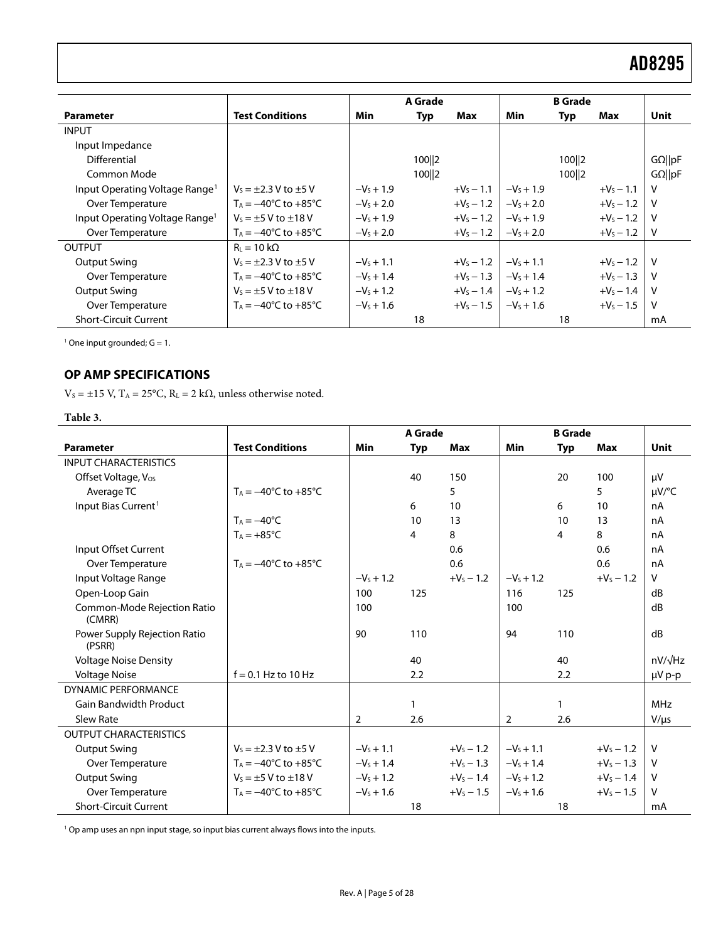<span id="page-4-0"></span>

|                                            |                                        |              | A Grade |              |              | <b>B</b> Grade |              |                |
|--------------------------------------------|----------------------------------------|--------------|---------|--------------|--------------|----------------|--------------|----------------|
| <b>Parameter</b>                           | <b>Test Conditions</b>                 | Min          |         | Max          | Min          |                | Max          | Unit           |
|                                            |                                        |              | Typ     |              |              | Typ            |              |                |
| <b>INPUT</b>                               |                                        |              |         |              |              |                |              |                |
| Input Impedance                            |                                        |              |         |              |              |                |              |                |
| Differential                               |                                        |              | 100  2  |              |              | 100  2         |              | $G\Omega$   pF |
| Common Mode                                |                                        |              | 100  2  |              |              | 100  2         |              | $G\Omega$   pF |
| Input Operating Voltage Range <sup>1</sup> | $V_5 = \pm 2.3 V$ to $\pm 5 V$         | $-V_s + 1.9$ |         | $+V_5 - 1.1$ | $-V_5 + 1.9$ |                | $+V_5 - 1.1$ | V              |
| Over Temperature                           | $T_A = -40^{\circ}C$ to $+85^{\circ}C$ | $-Vs + 2.0$  |         | $+V_5 - 1.2$ | $-Vs + 2.0$  |                | $+V_5 - 1.2$ | v              |
| Input Operating Voltage Range <sup>1</sup> | $V_5 = \pm 5$ V to $\pm 18$ V          | $-V_s + 1.9$ |         | $+V_5 - 1.2$ | $-V_s + 1.9$ |                | $+V_5 - 1.2$ | v              |
| Over Temperature                           | $T_A = -40^{\circ}C$ to $+85^{\circ}C$ | $-Vs + 2.0$  |         | $+V_5 - 1.2$ | $-V_s + 2.0$ |                | $+V_5 - 1.2$ | v              |
| OUTPUT                                     | $R_1 = 10 k\Omega$                     |              |         |              |              |                |              |                |
| Output Swing                               | $V_5 = \pm 2.3 V$ to $\pm 5 V$         | $-Vs + 1.1$  |         | $+V_5 - 1.2$ | $-Vs + 1.1$  |                | $+V_5 - 1.2$ | v              |
| Over Temperature                           | $T_A = -40^{\circ}C$ to $+85^{\circ}C$ | $-V_s + 1.4$ |         | $+V_5 - 1.3$ | $-V_s + 1.4$ |                | $+V_5 - 1.3$ | v              |
| Output Swing                               | $V_5 = \pm 5$ V to $\pm 18$ V          | $-Vs + 1.2$  |         | $+V_5 - 1.4$ | $-Vs + 1.2$  |                | $+V_5 - 1.4$ | v              |
| Over Temperature                           | $T_A = -40^{\circ}C$ to $+85^{\circ}C$ | $-V_s + 1.6$ |         | $+V_5 - 1.5$ | $-V_s + 1.6$ |                | $+V_5 - 1.5$ | v              |
| <b>Short-Circuit Current</b>               |                                        |              | 18      |              |              | 18             |              | mA             |

 $1$  One input grounded;  $G = 1$ .

### **OP AMP SPECIFICATIONS**

 $V_s = \pm 15$  V, T<sub>A</sub> = 25°C, R<sub>L</sub> = 2 k $\Omega$ , unless otherwise noted.

|                                        |                                        |                | A Grade    |              |                | <b>B</b> Grade |              |                |
|----------------------------------------|----------------------------------------|----------------|------------|--------------|----------------|----------------|--------------|----------------|
| <b>Parameter</b>                       | <b>Test Conditions</b>                 | <b>Min</b>     | <b>Typ</b> | Max          | Min            | <b>Typ</b>     | Max          | <b>Unit</b>    |
| <b>INPUT CHARACTERISTICS</b>           |                                        |                |            |              |                |                |              |                |
| Offset Voltage, Vos                    |                                        |                | 40         | 150          |                | 20             | 100          | μV             |
| Average TC                             | $T_A = -40^{\circ}C$ to $+85^{\circ}C$ |                |            | 5            |                |                | 5            | µV/°C          |
| Input Bias Current <sup>1</sup>        |                                        |                | 6          | 10           |                | 6              | 10           | nA             |
|                                        | $T_A = -40$ °C                         |                | 10         | 13           |                | 10             | 13           | nA             |
|                                        | $T_A = +85$ °C                         |                | 4          | 8            |                | 4              | 8            | nA             |
| Input Offset Current                   |                                        |                |            | 0.6          |                |                | 0.6          | nA             |
| Over Temperature                       | $T_A = -40^{\circ}C$ to $+85^{\circ}C$ |                |            | 0.6          |                |                | 0.6          | nA             |
| Input Voltage Range                    |                                        | $-Vs + 1.2$    |            | $+V_5 - 1.2$ | $-V_s + 1.2$   |                | $+V_5 - 1.2$ | v              |
| Open-Loop Gain                         |                                        | 100            | 125        |              | 116            | 125            |              | dB             |
| Common-Mode Rejection Ratio<br>(CMRR)  |                                        | 100            |            |              | 100            |                |              | dB             |
| Power Supply Rejection Ratio<br>(PSRR) |                                        | 90             | 110        |              | 94             | 110            |              | dB             |
| <b>Voltage Noise Density</b>           |                                        |                | 40         |              |                | 40             |              | $nV/\sqrt{Hz}$ |
| <b>Voltage Noise</b>                   | $f = 0.1$ Hz to 10 Hz                  |                | 2.2        |              |                | 2.2            |              | µV p-p         |
| <b>DYNAMIC PERFORMANCE</b>             |                                        |                |            |              |                |                |              |                |
| <b>Gain Bandwidth Product</b>          |                                        |                |            |              |                | 1              |              | <b>MHz</b>     |
| Slew Rate                              |                                        | $\overline{2}$ | 2.6        |              | $\overline{2}$ | 2.6            |              | $V/\mu s$      |
| <b>OUTPUT CHARACTERISTICS</b>          |                                        |                |            |              |                |                |              |                |
| <b>Output Swing</b>                    | $V_5 = \pm 2.3 V$ to $\pm 5 V$         | $-Vs + 1.1$    |            | $+V_5 - 1.2$ | $-Vs + 1.1$    |                | $+V_5 - 1.2$ | v              |
| Over Temperature                       | $T_A = -40^{\circ}C$ to $+85^{\circ}C$ | $-Vs + 1.4$    |            | $+V_5 - 1.3$ | $-Vs + 1.4$    |                | $+V_5 - 1.3$ | v              |
| <b>Output Swing</b>                    | $V_s = \pm 5$ V to $\pm 18$ V          | $-VS + 1.2$    |            | $+V_5 - 1.4$ | $-VS + 1.2$    |                | $+V_5 - 1.4$ | v              |
| Over Temperature                       | $T_A = -40^{\circ}C$ to $+85^{\circ}C$ | $-Vs + 1.6$    |            | $+V_5 - 1.5$ | $-Vs + 1.6$    |                | $+V_s - 1.5$ | ٧              |
| <b>Short-Circuit Current</b>           |                                        |                | 18         |              |                | 18             |              | mA             |

<sup>1</sup> Op amp uses an npn input stage, so input bias current always flows into the inputs.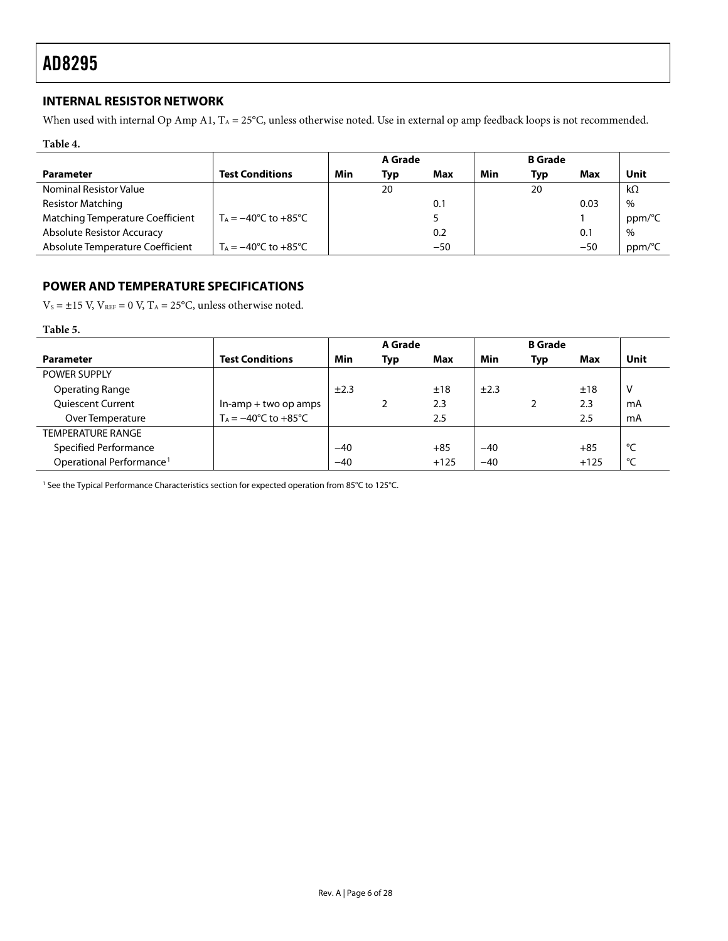### <span id="page-5-0"></span>**INTERNAL RESISTOR NETWORK**

When used with internal Op Amp A1,  $T_A = 25^{\circ}$ C, unless otherwise noted. Use in external op amp feedback loops is not recommended.

### **Table 4.**

|                                   |                                          | A Grade |     | <b>B</b> Grade |     |     |       |           |
|-----------------------------------|------------------------------------------|---------|-----|----------------|-----|-----|-------|-----------|
| <b>Parameter</b>                  | <b>Test Conditions</b>                   | Min     | Typ | Max            | Min | Typ | Max   | Unit      |
| Nominal Resistor Value            |                                          |         | 20  |                |     | 20  |       | $k\Omega$ |
| <b>Resistor Matching</b>          |                                          |         |     | 0.1            |     |     | 0.03  | $\%$      |
| Matching Temperature Coefficient  | $T_A = -40^{\circ}C$ to $+85^{\circ}C$   |         |     |                |     |     |       | ppm/°C    |
| <b>Absolute Resistor Accuracy</b> |                                          |         |     | 0.2            |     |     | 0.1   | $\%$      |
| Absolute Temperature Coefficient  | $T_A = -40^{\circ}$ C to $+85^{\circ}$ C |         |     | $-50$          |     |     | $-50$ | ppm/°C    |

### **POWER AND TEMPERATURE SPECIFICATIONS**

 $\rm V_S$  =  $\pm 15$  V,  $\rm V_{\rm REF}$  = 0 V,  $\rm T_A$  = 25°C, unless otherwise noted.

#### **Table 5.**

|                                      |                                        |       | A Grade |        |       | <b>B</b> Grade |        |      |
|--------------------------------------|----------------------------------------|-------|---------|--------|-------|----------------|--------|------|
| <b>Parameter</b>                     | <b>Test Conditions</b>                 | Min   | Typ     | Max    | Min   | Typ            | Max    | Unit |
| POWER SUPPLY                         |                                        |       |         |        |       |                |        |      |
| <b>Operating Range</b>               |                                        | ±2.3  |         | ±18    | ±2.3  |                | ±18    | ۷    |
| <b>Quiescent Current</b>             | $ln-amp + two op amps$                 |       |         | 2.3    |       |                | 2.3    | mA   |
| Over Temperature                     | $T_A = -40^{\circ}C$ to $+85^{\circ}C$ |       |         | 2.5    |       |                | 2.5    | mA   |
| TEMPERATURE RANGE                    |                                        |       |         |        |       |                |        |      |
| <b>Specified Performance</b>         |                                        | $-40$ |         | $+85$  | $-40$ |                | $+85$  | °⊂   |
| Operational Performance <sup>1</sup> |                                        | $-40$ |         | $+125$ | $-40$ |                | $+125$ | °C   |

<sup>1</sup> See th[e Typical Performance Characteristics section f](#page-8-2)or expected operation from 85°C to 125°C.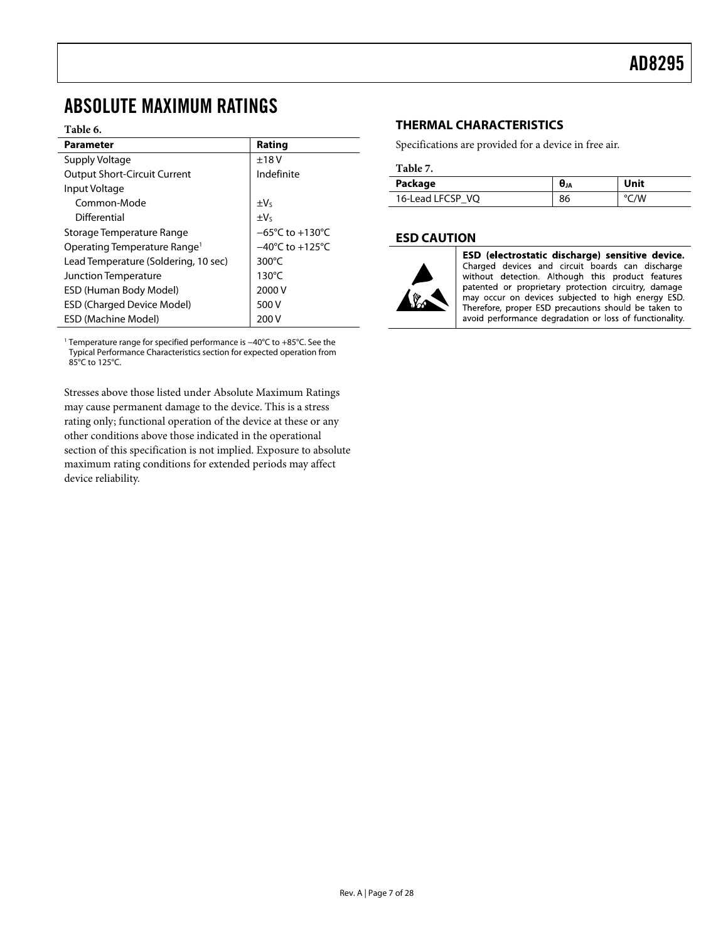### <span id="page-6-0"></span>ABSOLUTE MAXIMUM RATINGS

#### **Table 6.**

| <b>Parameter</b>                         | Rating                              |
|------------------------------------------|-------------------------------------|
| Supply Voltage                           | ±18V                                |
| <b>Output Short-Circuit Current</b>      | Indefinite                          |
| Input Voltage                            |                                     |
| Common-Mode                              | $\pm V_5$                           |
| Differential                             | $\pm V_5$                           |
| Storage Temperature Range                | $-65^{\circ}$ C to $+130^{\circ}$ C |
| Operating Temperature Range <sup>1</sup> | $-40^{\circ}$ C to $+125^{\circ}$ C |
| Lead Temperature (Soldering, 10 sec)     | $300^{\circ}$ C                     |
| <b>Junction Temperature</b>              | $130^{\circ}$ C                     |
| ESD (Human Body Model)                   | 2000 V                              |
| <b>ESD (Charged Device Model)</b>        | 500 V                               |
| <b>ESD (Machine Model)</b>               | 200 V                               |

1 Temperature range for specified performance is −40°C to +85°C. See the [Typical Performance Characteristics](#page-8-0) section for expected operation from 85°C to 125°C.

Stresses above those listed under Absolute Maximum Ratings may cause permanent damage to the device. This is a stress rating only; functional operation of the device at these or any other conditions above those indicated in the operational section of this specification is not implied. Exposure to absolute maximum rating conditions for extended periods may affect device reliability.

### **THERMAL CHARACTERISTICS**

Specifications are provided for a device in free air.

#### **Table 7.**

| Package          | $\theta$ JA | Unit |
|------------------|-------------|------|
| 16-Lead LFCSP VQ | 86          | °C/W |

### **ESD CAUTION**



ESD (electrostatic discharge) sensitive device. Charged devices and circuit boards can discharge without detection. Although this product features patented or proprietary protection circuitry, damage may occur on devices subjected to high energy ESD. Therefore, proper ESD precautions should be taken to avoid performance degradation or loss of functionality.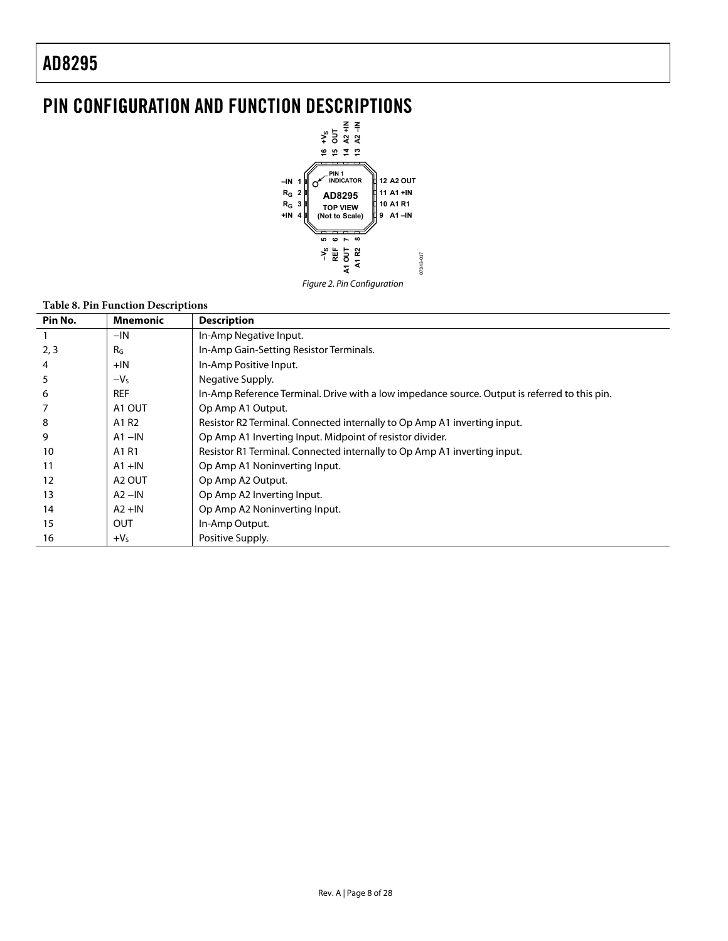# <span id="page-7-0"></span>PIN CONFIGURATION AND FUNCTION DESCRIPTIONS



#### **Table 8. Pin Function Descriptions**

| Pin No. | <b>Mnemonic</b>    | <b>Description</b>                                                                            |
|---------|--------------------|-----------------------------------------------------------------------------------------------|
|         | $-IN$              | In-Amp Negative Input.                                                                        |
| 2, 3    | R <sub>G</sub>     | In-Amp Gain-Setting Resistor Terminals.                                                       |
|         | $+IN$              | In-Amp Positive Input.                                                                        |
|         | $-VS$              | Negative Supply.                                                                              |
| 6       | <b>REF</b>         | In-Amp Reference Terminal. Drive with a low impedance source. Output is referred to this pin. |
|         | A1 OUT             | Op Amp A1 Output.                                                                             |
| 8       | A1 R2              | Resistor R2 Terminal. Connected internally to Op Amp A1 inverting input.                      |
| 9       | $A1 - IN$          | Op Amp A1 Inverting Input. Midpoint of resistor divider.                                      |
| 10      | A1 R1              | Resistor R1 Terminal. Connected internally to Op Amp A1 inverting input.                      |
| 11      | $A1 + IN$          | Op Amp A1 Noninverting Input.                                                                 |
| 12      | A <sub>2</sub> OUT | Op Amp A2 Output.                                                                             |
| 13      | $A2$ –IN           | Op Amp A2 Inverting Input.                                                                    |
| 14      | $A2 + IN$          | Op Amp A2 Noninverting Input.                                                                 |
| 15      | OUT                | In-Amp Output.                                                                                |
| 16      | $+VS$              | Positive Supply.                                                                              |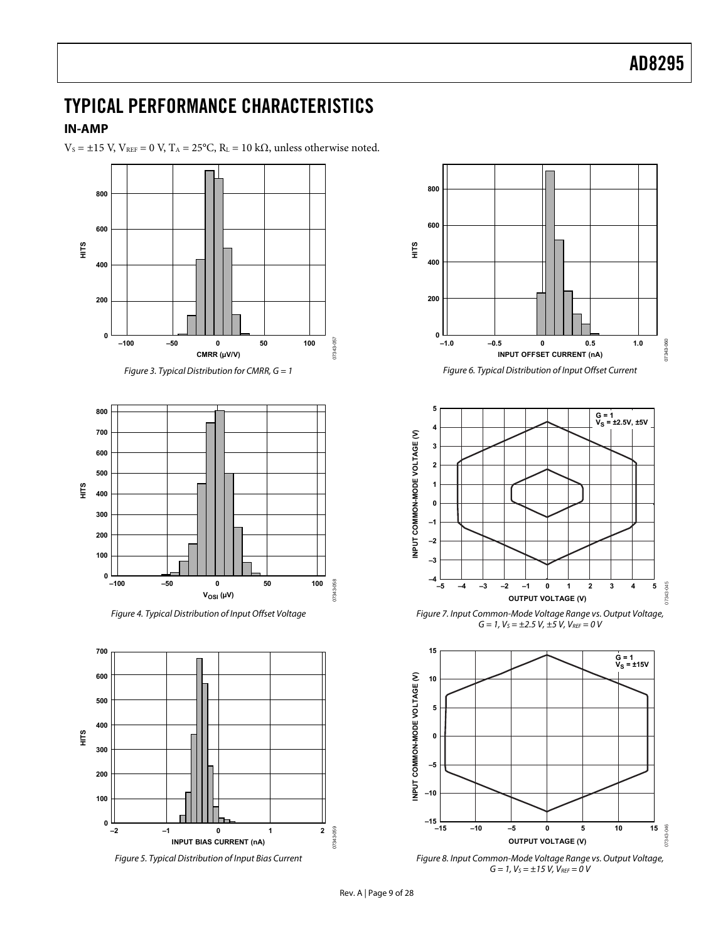# <span id="page-8-2"></span><span id="page-8-1"></span><span id="page-8-0"></span>TYPICAL PERFORMANCE CHARACTERISTICS

#### **IN-AMP**

 $V_s = \pm 15$  V,  $V_{REF} = 0$  V,  $T_A = 25$ °C,  $R_L = 10$  k $\Omega$ , unless otherwise noted.



<span id="page-8-3"></span>





Figure 8. Input Common-Mode Voltage Range vs. Output Voltage,  $G = 1, V_S = \pm 15 V, V_{REF} = 0 V$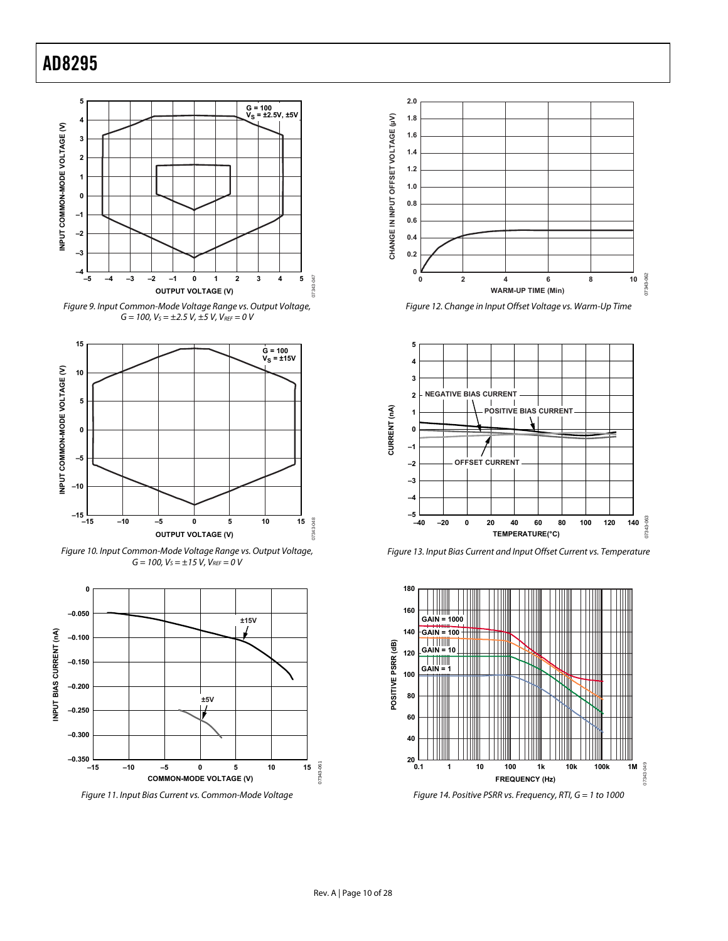





<span id="page-9-0"></span>Figure 10. Input Common-Mode Voltage Range vs. Output Voltage,  $G = 100$ ,  $V_S = \pm 15$  V,  $V_{REF} = 0$  V



<span id="page-9-1"></span>Figure 11. Input Bias Current vs. Common-Mode Voltage



Figure 12. Change in Input Offset Voltage vs. Warm-Up Time



Figure 13. Input Bias Current and Input Offset Current vs. Temperature



Figure 14. Positive PSRR vs. Frequency, RTI, G = 1 to 1000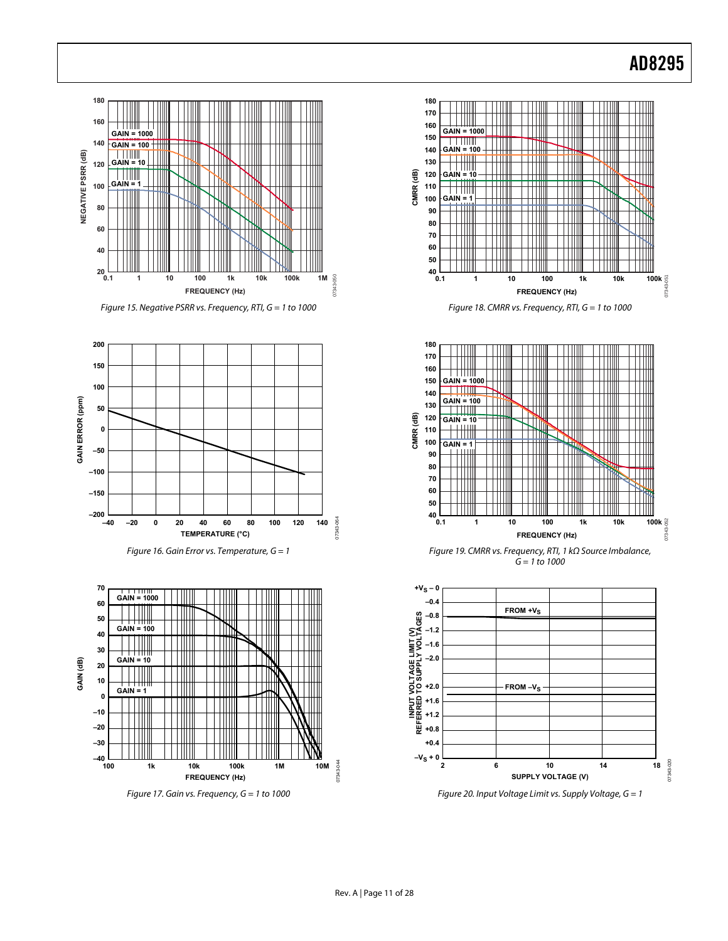



<span id="page-10-0"></span>





Figure 17. Gain vs. Frequency,  $G = 1$  to 1000







Figure 19. CMRR vs. Frequency, RTI, 1 kΩ Source Imbalance,  $G = 1$  to 1000



Figure 20. Input Voltage Limit vs. Supply Voltage,  $G = 1$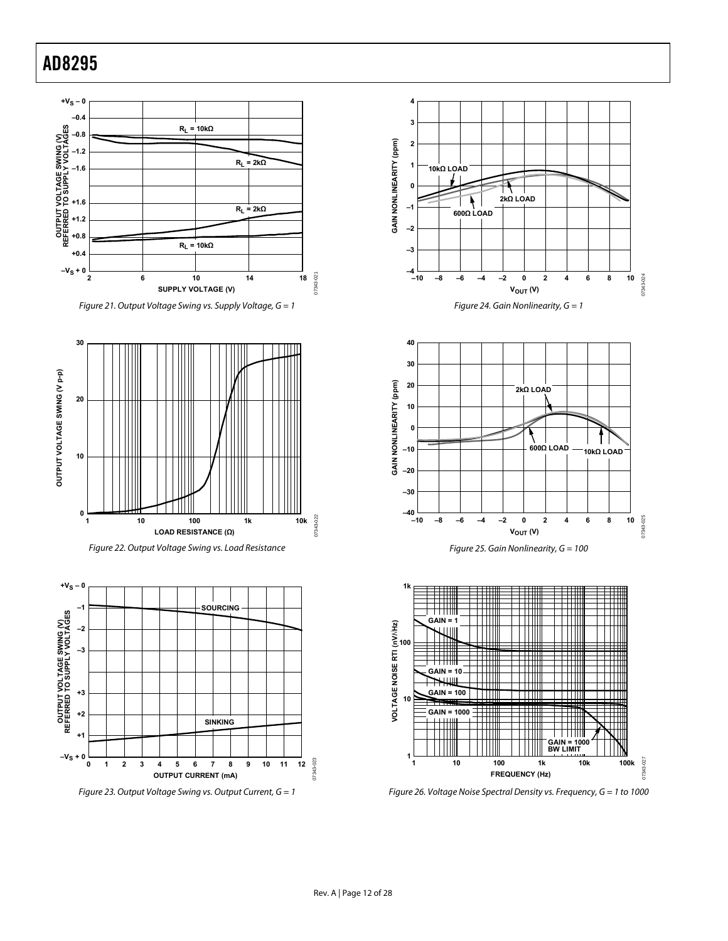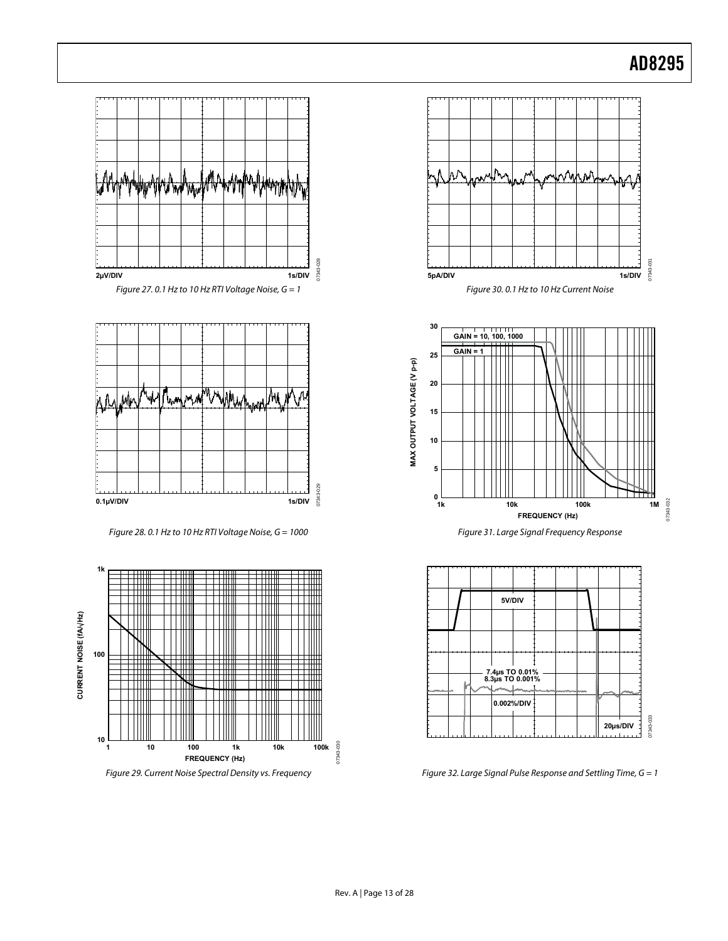





Figure 32. Large Signal Pulse Response and Settling Time,  $G = 1$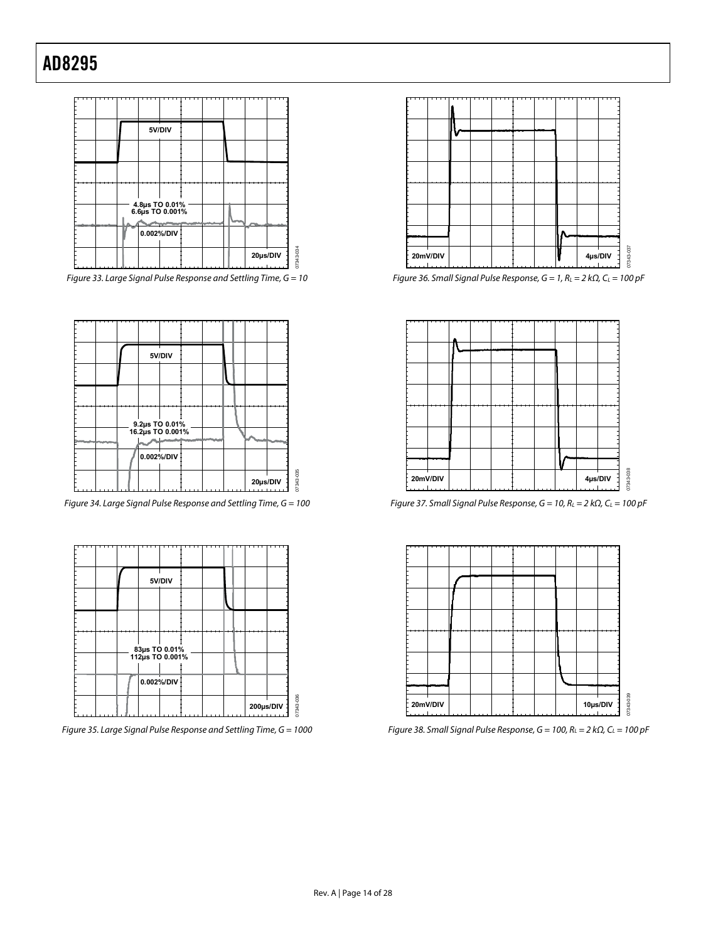

Figure 33. Large Signal Pulse Response and Settling Time, G = 10



Figure 34. Large Signal Pulse Response and Settling Time, G = 100



Figure 35. Large Signal Pulse Response and Settling Time, G = 1000



Figure 36. Small Signal Pulse Response,  $G = 1$ ,  $R_L = 2$  k $\Omega$ ,  $C_L = 100$  pF



Figure 37. Small Signal Pulse Response,  $G = 10$ ,  $R_L = 2$  k $\Omega$ ,  $C_L = 100$  pF



Figure 38. Small Signal Pulse Response,  $G = 100$ ,  $R_L = 2$  k $\Omega$ ,  $C_L = 100$  pF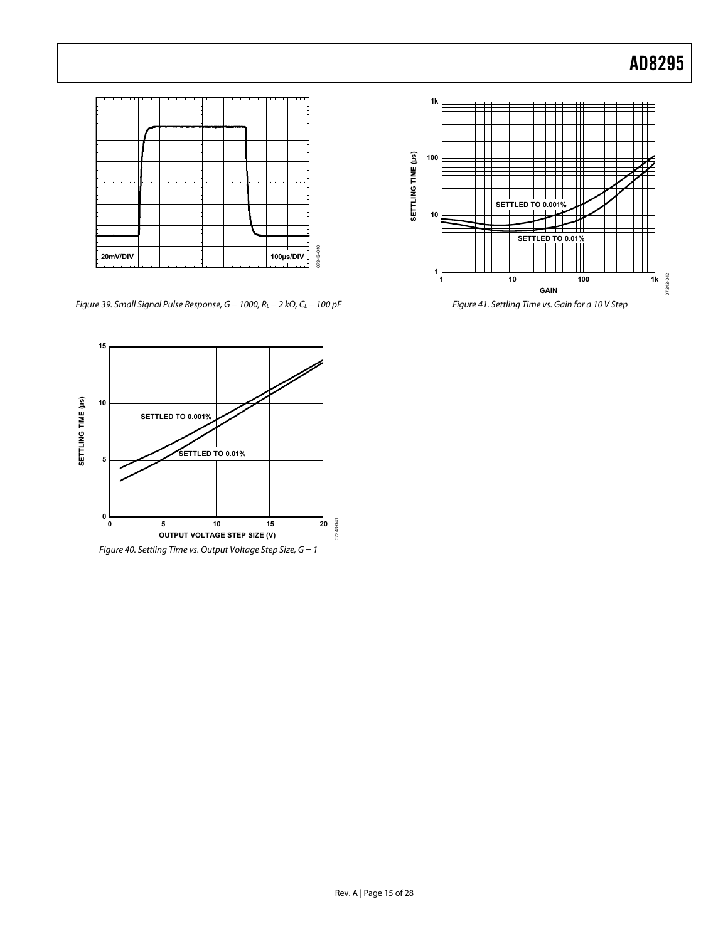

Figure 39. Small Signal Pulse Response,  $G = 1000$ ,  $R_L = 2 k\Omega$ ,  $C_L = 100 pF$ 



Figure 40. Settling Time vs. Output Voltage Step Size,  $G = 1$ 



Figure 41. Settling Time vs. Gain for a 10 V Step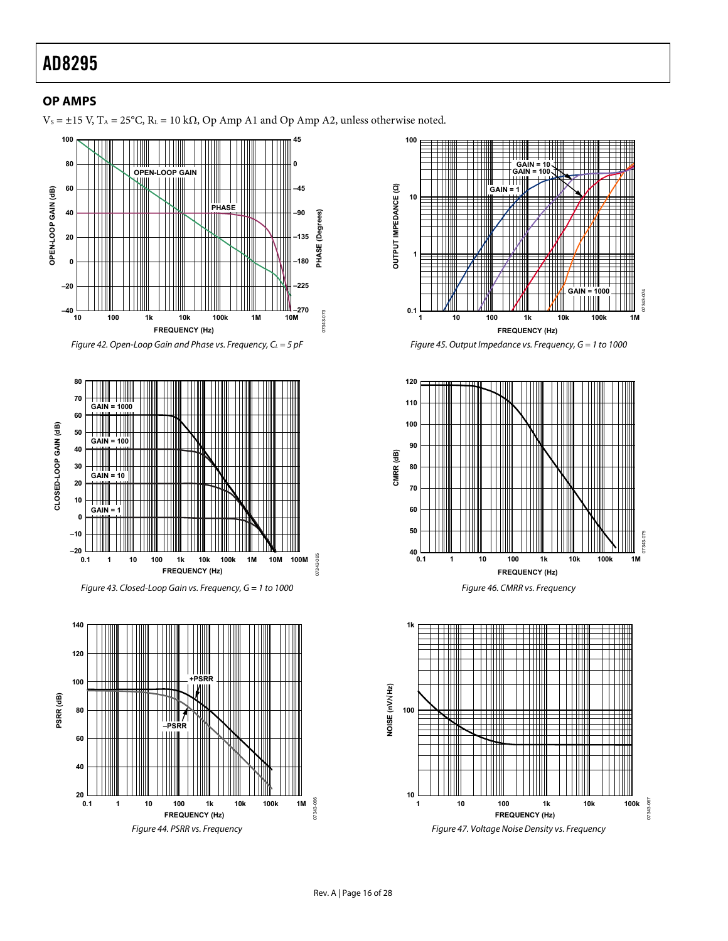### <span id="page-15-0"></span>**OP AMPS**

 $V_s = \pm 15$  V, T<sub>A</sub> = 25°C, R<sub>L</sub> = 10 kΩ, Op Amp A1 and Op Amp A2, unless otherwise noted.















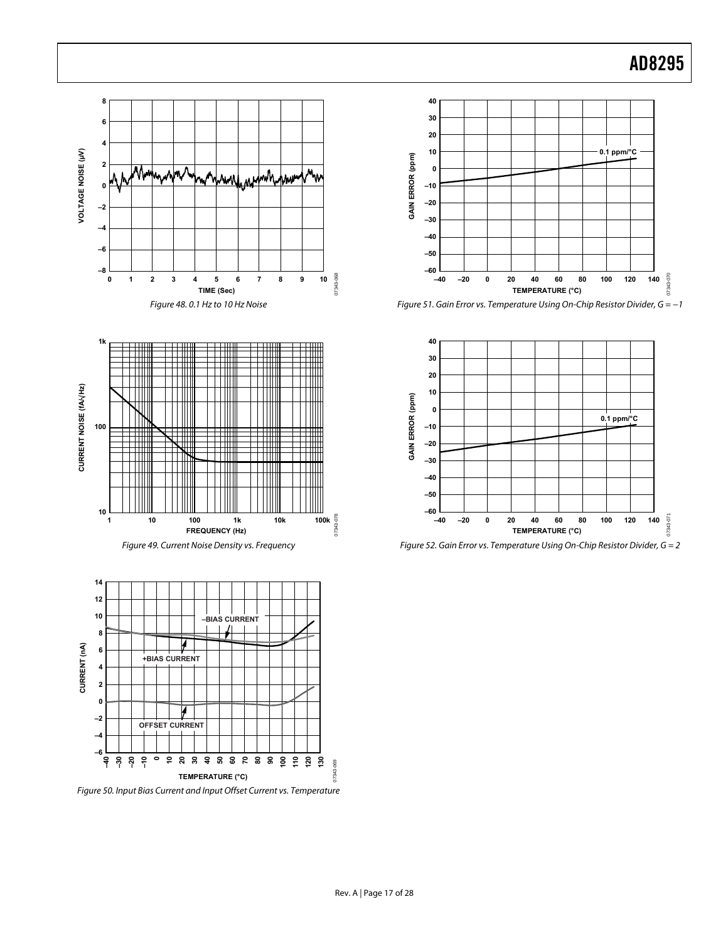







Figure 50. Input Bias Current and Input Offset Current vs. Temperature



Figure 51. Gain Error vs. Temperature Using On-Chip Resistor Divider, G = −1



Figure 52. Gain Error vs. Temperature Using On-Chip Resistor Divider, G = 2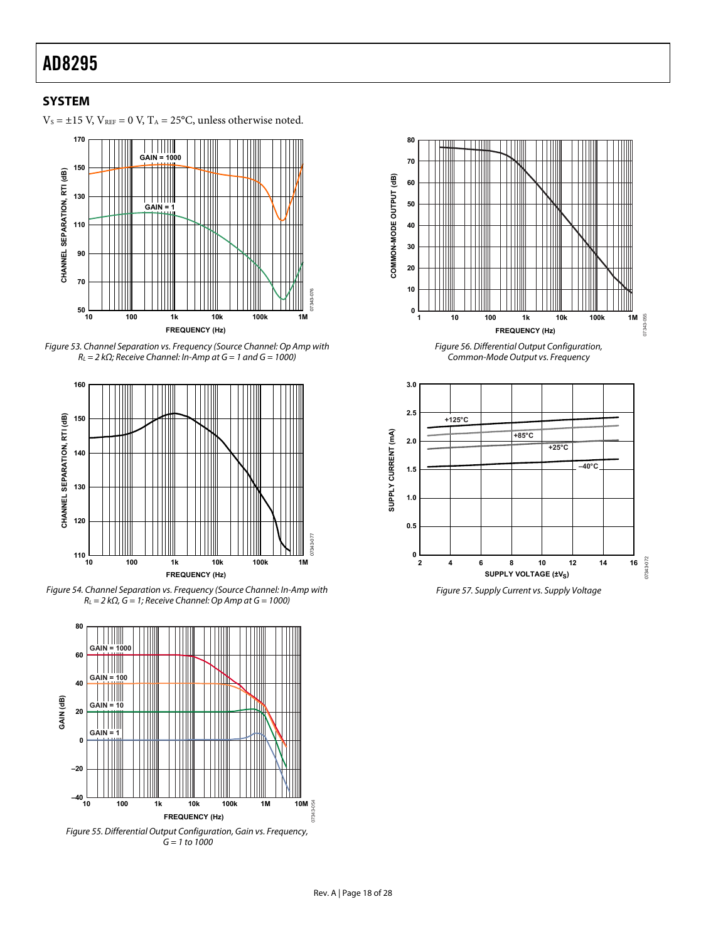### <span id="page-17-0"></span>**SYSTEM**

 $\rm V_S = \pm 15$  V,  $\rm V_{\rm REF} = 0$  V,  $\rm T_A = 25^oC$  , unless otherwise noted.



<span id="page-17-2"></span>Figure 53. Channel Separation vs. Frequency (Source Channel: Op Amp with  $R_{L} = 2 k\Omega$ ; Receive Channel: In-Amp at G = 1 and G = 1000)







<span id="page-17-1"></span> $G = 1$  to 1000



Figure 56. Differential Output Configuration, Common-Mode Output vs. Frequency



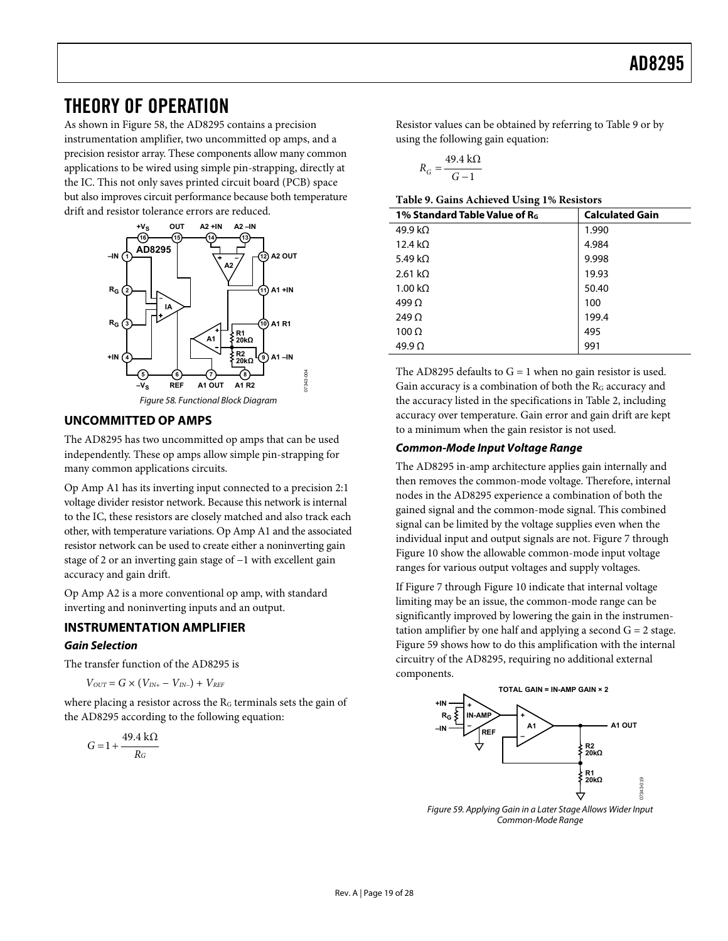### <span id="page-18-1"></span><span id="page-18-0"></span>THEORY OF OPERATION

<span id="page-18-3"></span>As shown in [Figure 58,](#page-18-2) the AD8295 contains a precision instrumentation amplifier, two uncommitted op amps, and a precision resistor array. These components allow many common applications to be wired using simple pin-strapping, directly at the IC. This not only saves printed circuit board (PCB) space but also improves circuit performance because both temperature drift and resistor tolerance errors are reduced.



Figure 58. Functional Block Diagram

#### <span id="page-18-2"></span>**UNCOMMITTED OP AMPS**

The AD8295 has two uncommitted op amps that can be used independently. These op amps allow simple pin-strapping for many common applications circuits.

Op Amp A1 has its inverting input connected to a precision 2:1 voltage divider resistor network. Because this network is internal to the IC, these resistors are closely matched and also track each other, with temperature variations. Op Amp A1 and the associated resistor network can be used to create either a noninverting gain stage of 2 or an inverting gain stage of −1 with excellent gain accuracy and gain drift.

Op Amp A2 is a more conventional op amp, with standard inverting and noninverting inputs and an output.

### **INSTRUMENTATION AMPLIFIER**

### **Gain Selection**

The transfer function of the AD8295 is

 $V_{OUT} = G \times (V_{IN+} - V_{IN-}) + V_{REF}$ 

where placing a resistor across the  $R<sub>G</sub>$  terminals sets the gain of the AD8295 according to the following equation:

<span id="page-18-4"></span>
$$
G = 1 + \frac{49.4 \text{ k}\Omega}{R_G}
$$

Resistor values can be obtained by referring to [Table 9](#page-18-3) or by using the following gain equation:

$$
R_G = \frac{49.4 \text{ k}\Omega}{G - 1}
$$

| Table 9. Gains Achieved Using 1% Resistors |  |  |  |
|--------------------------------------------|--|--|--|
|--------------------------------------------|--|--|--|

| ັ<br>1% Standard Table Value of R <sub>G</sub> | <b>Calculated Gain</b> |
|------------------------------------------------|------------------------|
| 49.9 k $\Omega$                                | 1.990                  |
| $12.4 k\Omega$                                 | 4.984                  |
| 5.49 k $\Omega$                                | 9.998                  |
| 2.61 k $\Omega$                                | 19.93                  |
| $1.00 k\Omega$                                 | 50.40                  |
| 499 $\Omega$                                   | 100                    |
| 249 $\Omega$                                   | 199.4                  |
| $100 \Omega$                                   | 495                    |
| $49.9\Omega$                                   | 991                    |

The AD8295 defaults to  $G = 1$  when no gain resistor is used. Gain accuracy is a combination of both the RG accuracy and the accuracy listed in the specifications in [Table 2](#page-2-1), including accuracy over temperature. Gain error and gain drift are kept to a minimum when the gain resistor is not used.

#### **Common-Mode Input Voltage Range**

The AD8295 in-amp architecture applies gain internally and then removes the common-mode voltage. Therefore, internal nodes in the AD8295 experience a combination of both the gained signal and the common-mode signal. This combined signal can be limited by the voltage supplies even when the individual input and output signals are not. [Figure 7](#page-8-3) through [Figure 10](#page-9-0) show the allowable common-mode input voltage ranges for various output voltages and supply voltages.

If [Figure 7](#page-8-3) through [Figure 10](#page-9-0) indicate that internal voltage limiting may be an issue, the common-mode range can be significantly improved by lowering the gain in the instrumentation amplifier by one half and applying a second  $G = 2$  stage. [Figure 59](#page-18-4) shows how to do this amplification with the internal circuitry of the AD8295, requiring no additional external components.



Figure 59. Applying Gain in a Later Stage Allows Wider Input Common-Mode Range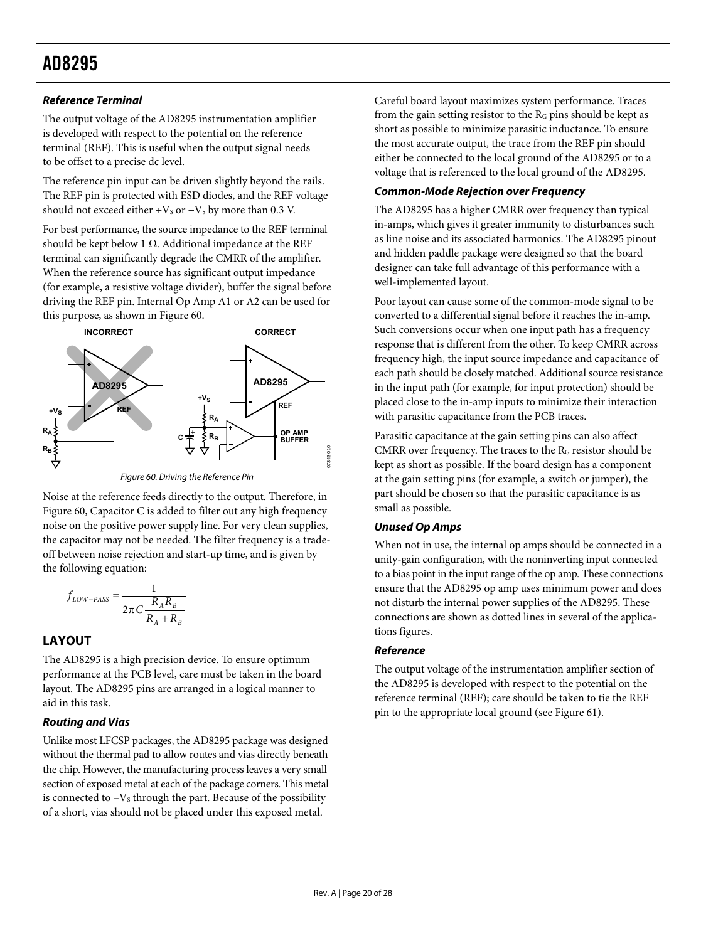#### <span id="page-19-2"></span><span id="page-19-0"></span>**Reference Terminal**

The output voltage of the AD8295 instrumentation amplifier is developed with respect to the potential on the reference terminal (REF). This is useful when the output signal needs to be offset to a precise dc level.

The reference pin input can be driven slightly beyond the rails. The REF pin is protected with ESD diodes, and the REF voltage should not exceed either + $V_S$  or  $-V_S$  by more than 0.3 V.

For best performance, the source impedance to the REF terminal should be kept below 1  $\Omega$ . Additional impedance at the REF terminal can significantly degrade the CMRR of the amplifier. When the reference source has significant output impedance (for example, a resistive voltage divider), buffer the signal before driving the REF pin. Internal Op Amp A1 or A2 can be used for this purpose, as shown in [Figure 60.](#page-19-1)



Figure 60. Driving the Reference Pin

<span id="page-19-1"></span>Noise at the reference feeds directly to the output. Therefore, in [Figure 60](#page-19-1), Capacitor C is added to filter out any high frequency noise on the positive power supply line. For very clean supplies, the capacitor may not be needed. The filter frequency is a tradeoff between noise rejection and start-up time, and is given by the following equation:

$$
f_{LOW-PASS} = \frac{1}{2\pi C \frac{R_A R_B}{R_A + R_B}}
$$

### **LAYOUT**

The AD8295 is a high precision device. To ensure optimum performance at the PCB level, care must be taken in the board layout. The AD8295 pins are arranged in a logical manner to aid in this task.

### **Routing and Vias**

Unlike most LFCSP packages, the AD8295 package was designed without the thermal pad to allow routes and vias directly beneath the chip. However, the manufacturing process leaves a very small section of exposed metal at each of the package corners. This metal is connected to  $-V<sub>S</sub>$  through the part. Because of the possibility of a short, vias should not be placed under this exposed metal.

Careful board layout maximizes system performance. Traces from the gain setting resistor to the RG pins should be kept as short as possible to minimize parasitic inductance. To ensure the most accurate output, the trace from the REF pin should either be connected to the local ground of the AD8295 or to a voltage that is referenced to the local ground of the AD8295.

#### **Common-Mode Rejection over Frequency**

The AD8295 has a higher CMRR over frequency than typical in-amps, which gives it greater immunity to disturbances such as line noise and its associated harmonics. The AD8295 pinout and hidden paddle package were designed so that the board designer can take full advantage of this performance with a well-implemented layout.

Poor layout can cause some of the common-mode signal to be converted to a differential signal before it reaches the in-amp. Such conversions occur when one input path has a frequency response that is different from the other. To keep CMRR across frequency high, the input source impedance and capacitance of each path should be closely matched. Additional source resistance in the input path (for example, for input protection) should be placed close to the in-amp inputs to minimize their interaction with parasitic capacitance from the PCB traces.

Parasitic capacitance at the gain setting pins can also affect CMRR over frequency. The traces to the R<sub>G</sub> resistor should be kept as short as possible. If the board design has a component at the gain setting pins (for example, a switch or jumper), the part should be chosen so that the parasitic capacitance is as small as possible.

### **Unused Op Amps**

When not in use, the internal op amps should be connected in a unity-gain configuration, with the noninverting input connected to a bias point in the input range of the op amp. These connections ensure that the AD8295 op amp uses minimum power and does not disturb the internal power supplies of the AD8295. These connections are shown as dotted lines in several of the applications figures.

#### **Reference**

The output voltage of the instrumentation amplifier section of the AD8295 is developed with respect to the potential on the reference terminal (REF); care should be taken to tie the REF pin to the appropriate local ground (see [Figure 61\)](#page-20-2).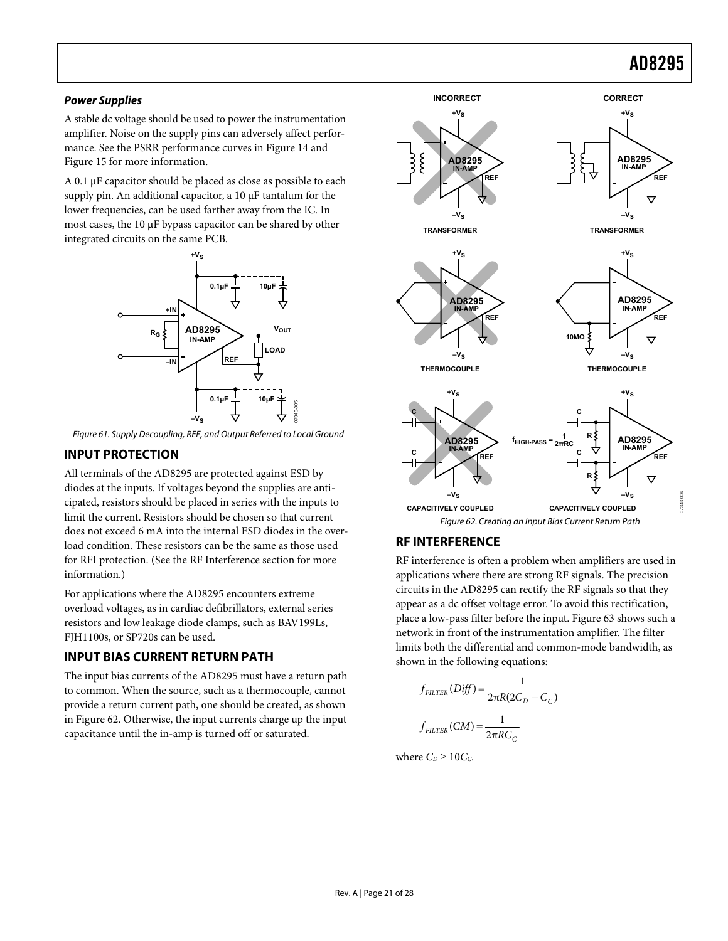#### <span id="page-20-1"></span><span id="page-20-0"></span>**Power Supplies**

A stable dc voltage should be used to power the instrumentation amplifier. Noise on the supply pins can adversely affect performance. See the PSRR performance curves in [Figure 14](#page-9-1) and [Figure 15](#page-10-0) for more information.

A 0.1 μF capacitor should be placed as close as possible to each supply pin. An additional capacitor, a 10 μF tantalum for the lower frequencies, can be used farther away from the IC. In most cases, the 10 μF bypass capacitor can be shared by other integrated circuits on the same PCB.



Figure 61. Supply Decoupling, REF, and Output Referred to Local Ground

#### <span id="page-20-2"></span>**INPUT PROTECTION**

<span id="page-20-4"></span>All terminals of the AD8295 are protected against ESD by diodes at the inputs. If voltages beyond the supplies are anticipated, resistors should be placed in series with the inputs to limit the current. Resistors should be chosen so that current does not exceed 6 mA into the internal ESD diodes in the overload condition. These resistors can be the same as those used for RFI protection. (See the [RF Interference](#page-20-3) section for more information.)

<span id="page-20-3"></span>For applications where the AD8295 encounters extreme overload voltages, as in cardiac defibrillators, external series resistors and low leakage diode clamps, such as BAV199Ls, FJH1100s, or SP720s can be used.

### **INPUT BIAS CURRENT RETURN PATH**

The input bias currents of the AD8295 must have a return path to common. When the source, such as a thermocouple, cannot provide a return current path, one should be created, as shown in [Figure 62](#page-20-4). Otherwise, the input currents charge up the input capacitance until the in-amp is turned off or saturated.



### **RF INTERFERENCE**

RF interference is often a problem when amplifiers are used in applications where there are strong RF signals. The precision circuits in the AD8295 can rectify the RF signals so that they appear as a dc offset voltage error. To avoid this rectification, place a low-pass filter before the input. [Figure 63](#page-21-2) shows such a network in front of the instrumentation amplifier. The filter limits both the differential and common-mode bandwidth, as shown in the following equations:

$$
f_{\text{FILTER}}(Diff) = \frac{1}{2\pi R(2C_D + C_C)}
$$

$$
f_{\text{FILTER}}(CM) = \frac{1}{2\pi RC_C}
$$

where  $C_D \geq 10C_C$ .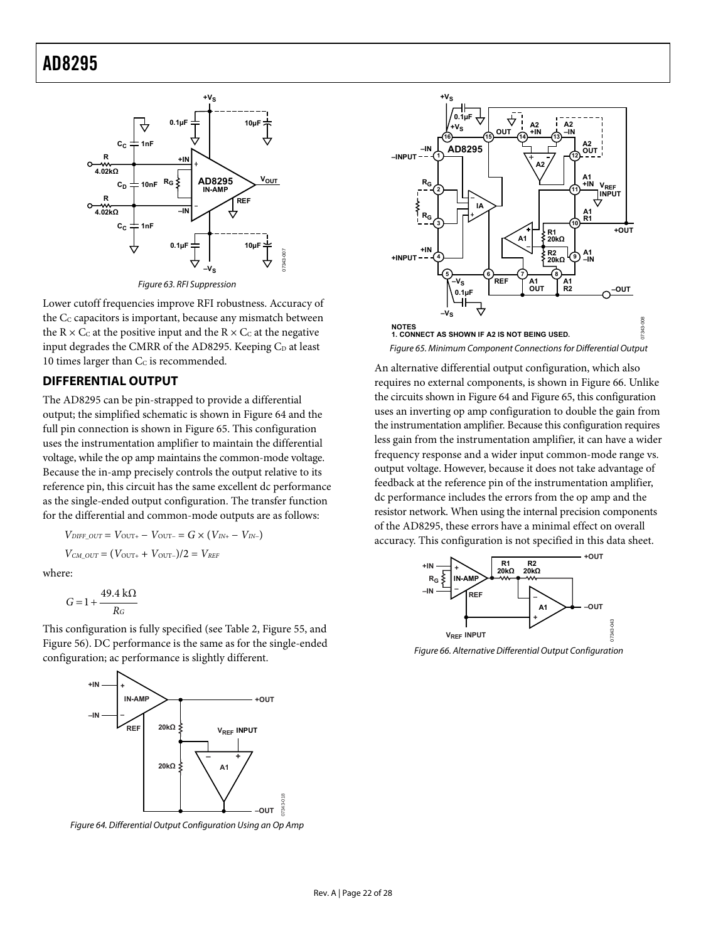<span id="page-21-0"></span>

Figure 63. RFI Suppression

<span id="page-21-2"></span>Lower cutoff frequencies improve RFI robustness. Accuracy of the C<sub>c</sub> capacitors is important, because any mismatch between the  $R \times C_C$  at the positive input and the  $R \times C_C$  at the negative input degrades the CMRR of the AD8295. Keeping  $C_D$  at least 10 times larger than  $C<sub>C</sub>$  is recommended.

#### <span id="page-21-1"></span>**DIFFERENTIAL OUTPUT**

The AD8295 can be pin-strapped to provide a differential output; the simplified schematic is shown in [Figure 64](#page-21-3) and the full pin connection is shown in [Figure 65](#page-21-1). This configuration uses the instrumentation amplifier to maintain the differential voltage, while the op amp maintains the common-mode voltage. Because the in-amp precisely controls the output relative to its reference pin, this circuit has the same excellent dc performance as the single-ended output configuration. The transfer function for the differential and common-mode outputs are as follows:

$$
V_{DIF-OUT} = V_{OUT+} - V_{OUT-} = G \times (V_{IN+} - V_{IN-})
$$
  

$$
V_{CM\_OUT} = (V_{OUT+} + V_{OUT-})/2 = V_{REF}
$$

where:

$$
G=1+\frac{49.4\;k\Omega}{R_G}
$$

<span id="page-21-4"></span>This configuration is fully specified (see [Table 2](#page-2-1), [Figure 55](#page-17-1), and [Figure 56](#page-17-2)). DC performance is the same as for the single-ended configuration; ac performance is slightly different.



<span id="page-21-3"></span>Figure 64. Differential Output Configuration Using an Op Amp



Figure 65. Minimum Component Connections for Differential Output

An alternative differential output configuration, which also requires no external components, is shown in [Figure 66.](#page-21-4) Unlike the circuits shown in [Figure 64](#page-21-3) and [Figure 65](#page-21-1), this configuration uses an inverting op amp configuration to double the gain from the instrumentation amplifier. Because this configuration requires less gain from the instrumentation amplifier, it can have a wider frequency response and a wider input common-mode range vs. output voltage. However, because it does not take advantage of feedback at the reference pin of the instrumentation amplifier, dc performance includes the errors from the op amp and the resistor network. When using the internal precision components of the AD8295, these errors have a minimal effect on overall accuracy. This configuration is not specified in this data sheet.



Figure 66. Alternative Differential Output Configuration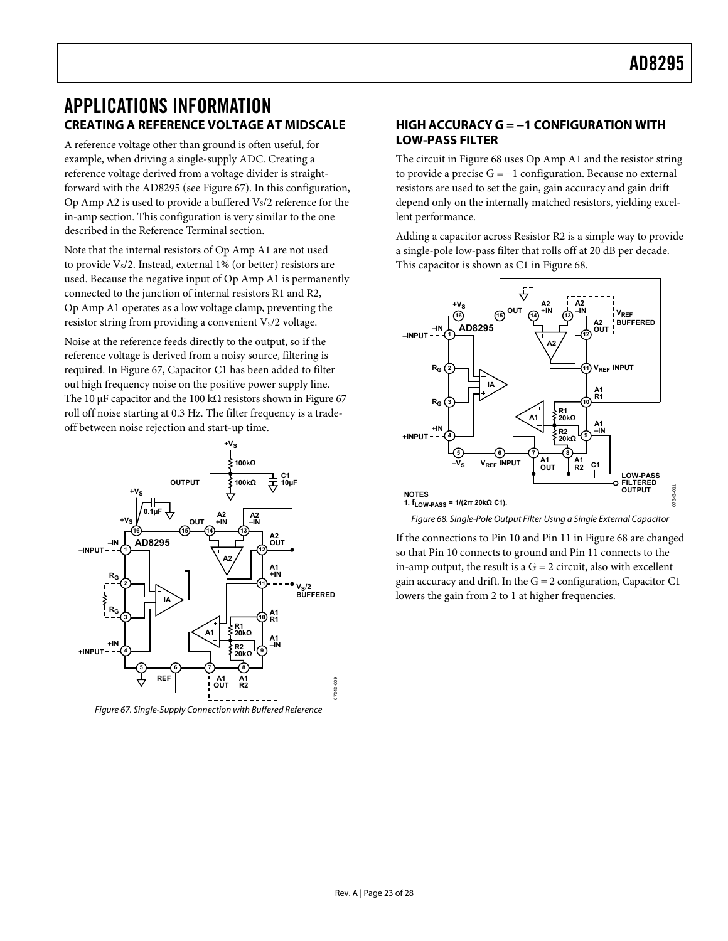### <span id="page-22-0"></span>APPLICATIONS INFORMATION **CREATING A REFERENCE VOLTAGE AT MIDSCALE HIGH ACCURACY G = −1 CONFIGURATION WITH**

A reference voltage other than ground is often useful, for **LOW-PASS FILTER**  example, when driving a single-supply ADC. Creating a reference voltage derived from a voltage divider is straightforward with the AD8295 (see [Figure 67](#page-22-1)). In this configuration, Op Amp A2 is used to provide a buffered  $V_s/2$  reference for the in-amp section. This configuration is very similar to the one described in the [Reference Terminal](#page-19-2) section.

Note that the internal resistors of Op Amp A1 are not used to provide  $V_s/2$ . Instead, external 1% (or better) resistors are used. Because the negative input of Op Amp A1 is permanently connected to the junction of internal resistors R1 and R2, Op Amp A1 operates as a low voltage clamp, preventing the resistor string from providing a convenient  $V_s/2$  voltage.

Noise at the reference feeds directly to the output, so if the reference voltage is derived from a noisy source, filtering is required. In [Figure 67,](#page-22-1) Capacitor C1 has been added to filter out high frequency noise on the positive power supply line. The 10 μF capacitor and the 100 k $\Omega$  resistors shown in [Figure 67](#page-22-1) roll off noise starting at 0.3 Hz. The filter frequency is a tradeoff between noise rejection and start-up time.

<span id="page-22-2"></span>

<span id="page-22-1"></span>Figure 67. Single-Supply Connection with Buffered Reference

The circuit in [Figure 68](#page-22-2) uses Op Amp A1 and the resistor string to provide a precise G = −1 configuration. Because no external resistors are used to set the gain, gain accuracy and gain drift depend only on the internally matched resistors, yielding excellent performance.

Adding a capacitor across Resistor R2 is a simple way to provide a single-pole low-pass filter that rolls off at 20 dB per decade. This capacitor is shown as C1 in [Figure 68](#page-22-2).



Figure 68. Single-Pole Output Filter Using a Single External Capacitor

If the connections to Pin 10 and Pin 11 in [Figure 68](#page-22-2) are changed so that Pin 10 connects to ground and Pin 11 connects to the in-amp output, the result is a  $G = 2$  circuit, also with excellent gain accuracy and drift. In the  $G = 2$  configuration, Capacitor C1 lowers the gain from 2 to 1 at higher frequencies.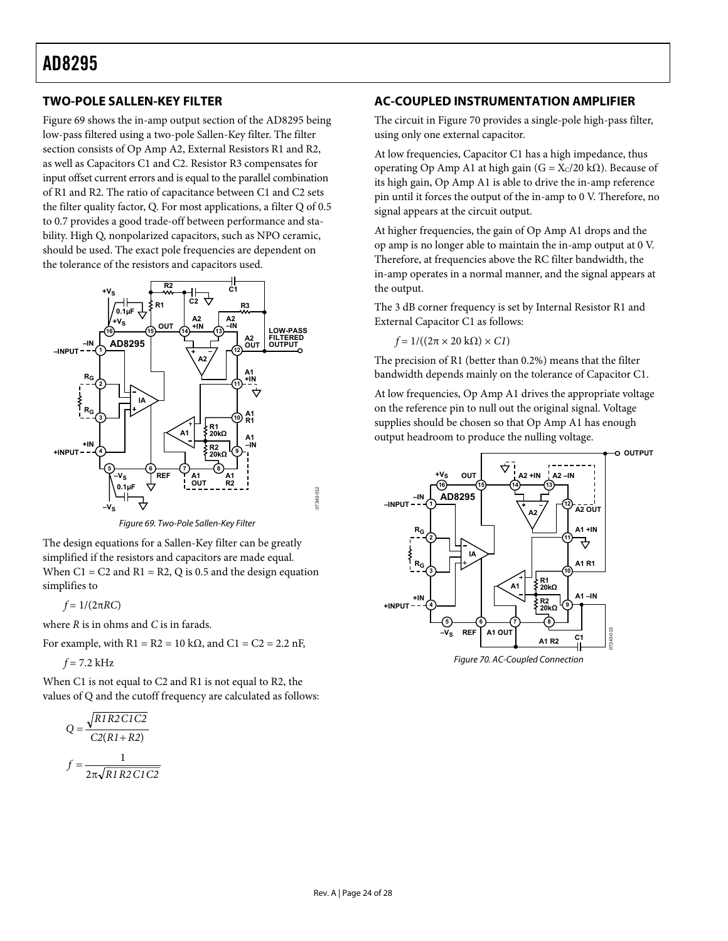### <span id="page-23-0"></span>**TWO-POLE SALLEN-KEY FILTER**

[Figure 69](#page-23-1) shows the in-amp output section of the AD8295 being low-pass filtered using a two-pole Sallen-Key filter. The filter section consists of Op Amp A2, External Resistors R1 and R2, as well as Capacitors C1 and C2. Resistor R3 compensates for input offset current errors and is equal to the parallel combination of R1 and R2. The ratio of capacitance between C1 and C2 sets the filter quality factor, Q. For most applications, a filter Q of 0.5 to 0.7 provides a good trade-off between performance and stability. High Q, nonpolarized capacitors, such as NPO ceramic, should be used. The exact pole frequencies are dependent on the tolerance of the resistors and capacitors used.



Figure 69. Two-Pole Sallen-Key Filter

<span id="page-23-1"></span>The design equations for a Sallen-Key filter can be greatly simplified if the resistors and capacitors are made equal. When  $Cl = C2$  and  $R1 = R2$ , Q is 0.5 and the design equation simplifies to

 $f = 1/(2πRC)$ 

where *R* is in ohms and *C* is in farads.

<span id="page-23-2"></span>For example, with  $R1 = R2 = 10$  k $\Omega$ , and  $C1 = C2 = 2.2$  nF,

 $f = 7.2$  kHz

When C1 is not equal to C2 and R1 is not equal to R2, the values of Q and the cutoff frequency are calculated as follows:

$$
Q = \frac{\sqrt{R1R2C1C2}}{C2(R1+R2)}
$$

$$
f = \frac{1}{2\pi\sqrt{R1R2C1C2}}
$$

### **AC-COUPLED INSTRUMENTATION AMPLIFIER**

The circuit in [Figure 70](#page-23-2) provides a single-pole high-pass filter, using only one external capacitor.

At low frequencies, Capacitor C1 has a high impedance, thus operating Op Amp A1 at high gain ( $G = X_C/20 \text{ k}\Omega$ ). Because of its high gain, Op Amp A1 is able to drive the in-amp reference pin until it forces the output of the in-amp to 0 V. Therefore, no signal appears at the circuit output.

At higher frequencies, the gain of Op Amp A1 drops and the op amp is no longer able to maintain the in-amp output at 0 V. Therefore, at frequencies above the RC filter bandwidth, the in-amp operates in a normal manner, and the signal appears at the output.

The 3 dB corner frequency is set by Internal Resistor R1 and External Capacitor C1 as follows:

 $f = 1/((2\pi \times 20 \text{ k}\Omega) \times C1)$ 

The precision of R1 (better than 0.2%) means that the filter bandwidth depends mainly on the tolerance of Capacitor C1.

At low frequencies, Op Amp A1 drives the appropriate voltage on the reference pin to null out the original signal. Voltage supplies should be chosen so that Op Amp A1 has enough output headroom to produce the nulling voltage.



Figure 70. AC-Coupled Connection

07343-012

17343-012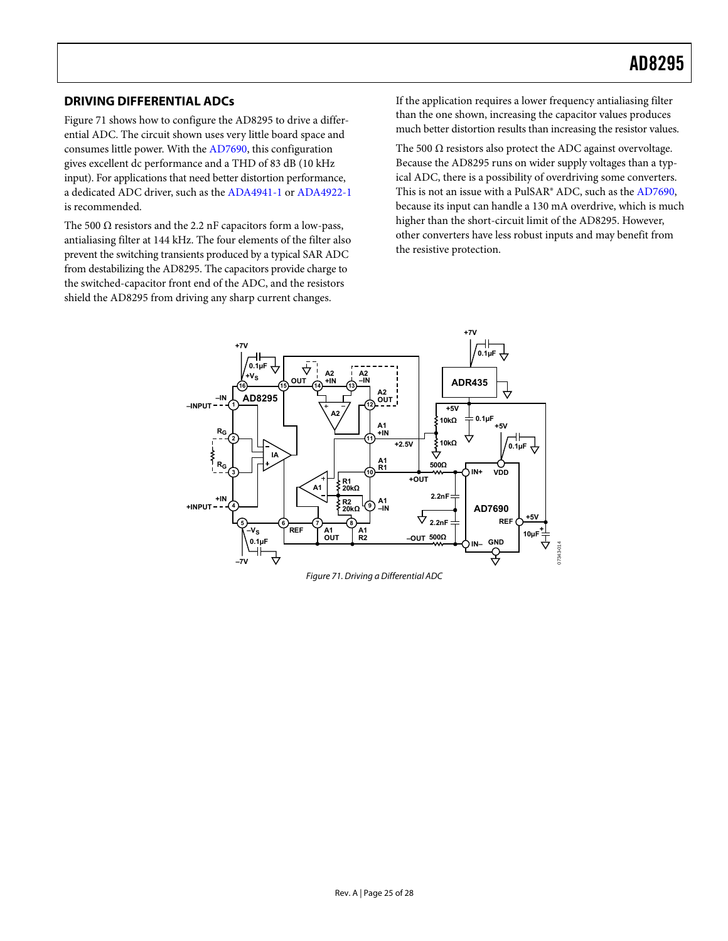### <span id="page-24-0"></span>**DRIVING DIFFERENTIAL ADCs**

[Figure 71](#page-24-1) shows how to configure the AD8295 to drive a differential ADC. The circuit shown uses very little board space and consumes little power. With the [AD7690,](http://www.analog.com/AD7690) this configuration gives excellent dc performance and a THD of 83 dB (10 kHz input). For applications that need better distortion performance, a dedicated ADC driver, such as the [ADA4941-1](http://www.analog.com/ADA4941-1) or [ADA4922-1](http://www.analog.com/ADA4922-1) is recommended.

The 500  $\Omega$  resistors and the 2.2 nF capacitors form a low-pass, antialiasing filter at 144 kHz. The four elements of the filter also prevent the switching transients produced by a typical SAR ADC from destabilizing the AD8295. The capacitors provide charge to the switched-capacitor front end of the ADC, and the resistors shield the AD8295 from driving any sharp current changes.

If the application requires a lower frequency antialiasing filter than the one shown, increasing the capacitor values produces much better distortion results than increasing the resistor values.

The 500  $\Omega$  resistors also protect the ADC against overvoltage. Because the AD8295 runs on wider supply voltages than a typical ADC, there is a possibility of overdriving some converters. This is not an issue with a PulSAR® ADC, such as the [AD7690](http://www.analog.com/AD7690), because its input can handle a 130 mA overdrive, which is much higher than the short-circuit limit of the AD8295. However, other converters have less robust inputs and may benefit from the resistive protection.

<span id="page-24-1"></span>

Figure 71. Driving a Differential ADC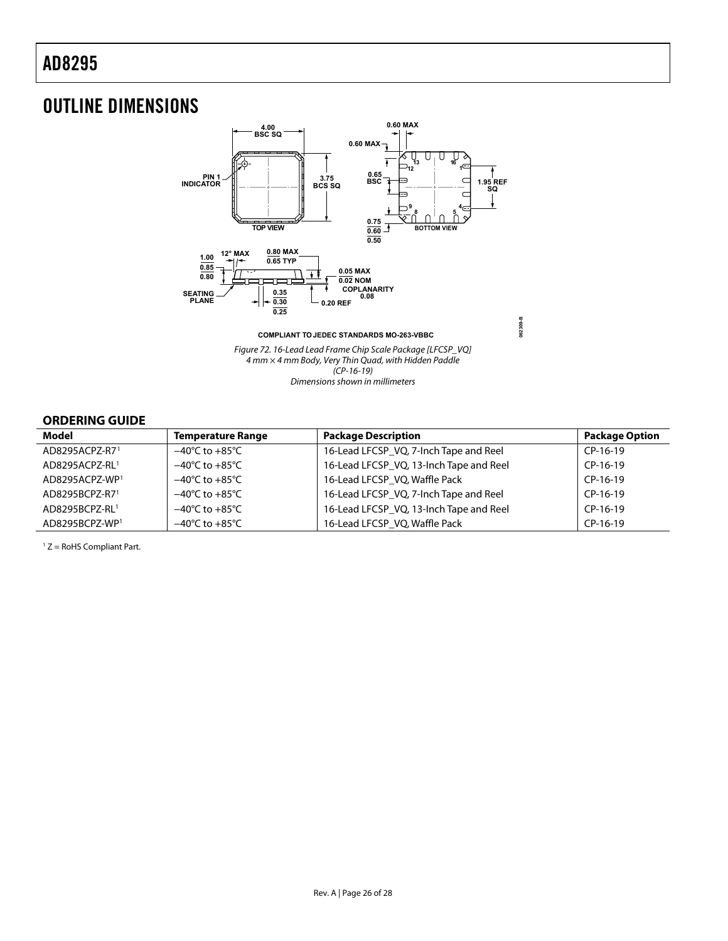# <span id="page-25-0"></span>OUTLINE DIMENSIONS



 $4$  mm  $\times$  4 mm Body, Very Thin Quad, with Hidden Paddle  $(CP-16-19)$ Dimensions shown in millimeters

### **ORDERING GUIDE**

| Model                      | <b>Temperature Range</b>           | <b>Package Description</b>              | <b>Package Option</b> |
|----------------------------|------------------------------------|-----------------------------------------|-----------------------|
| AD8295ACPZ-R71             | $-40^{\circ}$ C to $+85^{\circ}$ C | 16-Lead LFCSP_VQ, 7-Inch Tape and Reel  | $CP-16-19$            |
| AD8295ACPZ-RL1             | $-40^{\circ}$ C to $+85^{\circ}$ C | 16-Lead LFCSP_VQ, 13-Inch Tape and Reel | $CP-16-19$            |
| AD8295ACPZ-WP1             | $-40^{\circ}$ C to $+85^{\circ}$ C | 16-Lead LFCSP_VQ, Waffle Pack           | $CP-16-19$            |
| AD8295BCPZ-R71             | $-40^{\circ}$ C to $+85^{\circ}$ C | 16-Lead LFCSP_VQ, 7-Inch Tape and Reel  | $CP-16-19$            |
| AD8295BCPZ-RL1             | $-40^{\circ}$ C to $+85^{\circ}$ C | 16-Lead LFCSP_VQ, 13-Inch Tape and Reel | $CP-16-19$            |
| AD8295BCPZ-WP <sup>1</sup> | $-40^{\circ}$ C to $+85^{\circ}$ C | 16-Lead LFCSP VQ, Waffle Pack           | $CP-16-19$            |

1 Z = RoHS Compliant Part.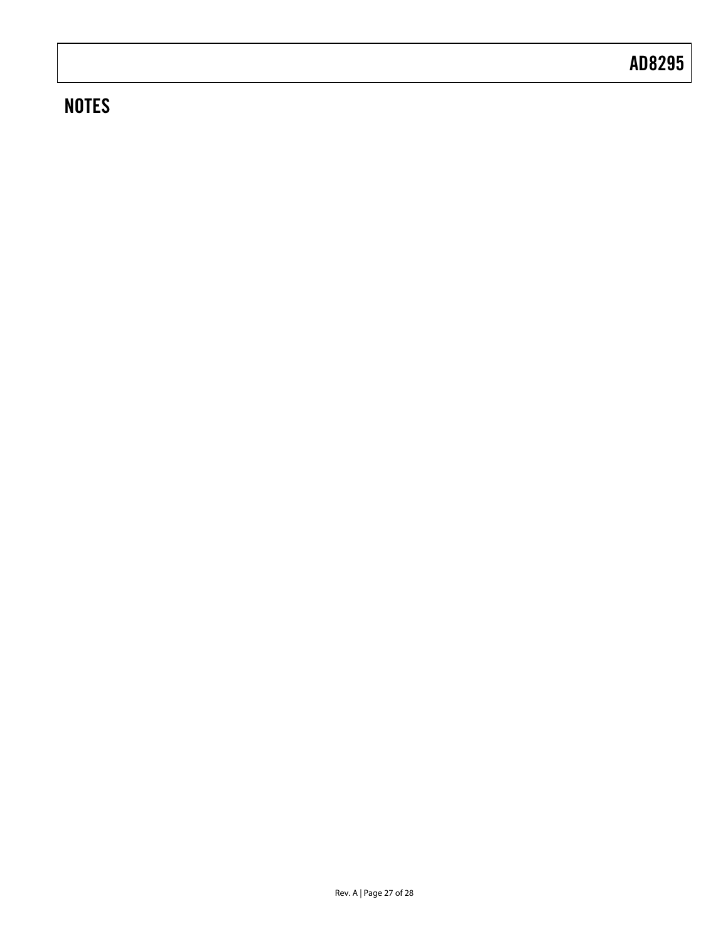# **NOTES**